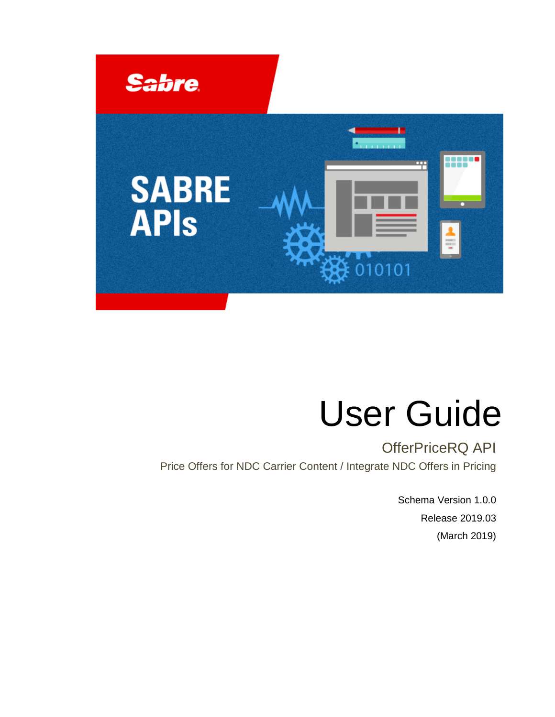

## User Guide

OfferPriceRQ API Price Offers for NDC Carrier Content / Integrate NDC Offers in Pricing

> Schema Version 1.0.0 Release 2019.03 (March 2019)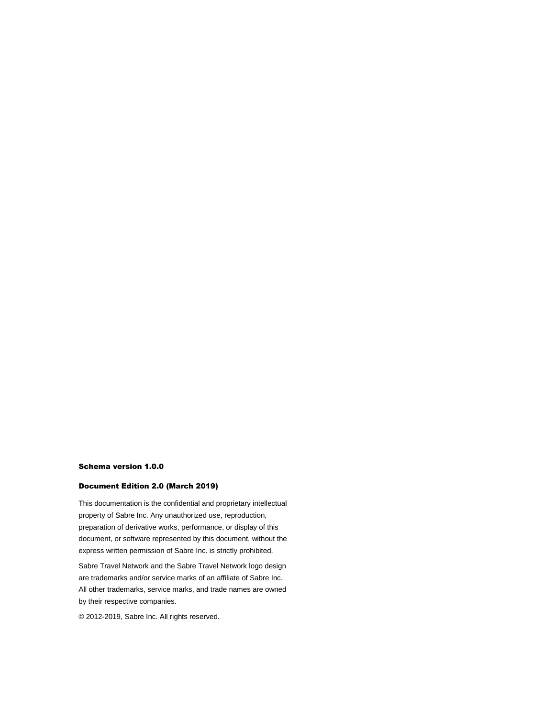#### Schema version 1.0.0

#### Document Edition 2.0 (March 2019)

This documentation is the confidential and proprietary intellectual property of Sabre Inc. Any unauthorized use, reproduction, preparation of derivative works, performance, or display of this document, or software represented by this document, without the express written permission of Sabre Inc. is strictly prohibited.

Sabre Travel Network and the Sabre Travel Network logo design are trademarks and/or service marks of an affiliate of Sabre Inc. All other trademarks, service marks, and trade names are owned by their respective companies.

© 2012-2019, Sabre Inc. All rights reserved.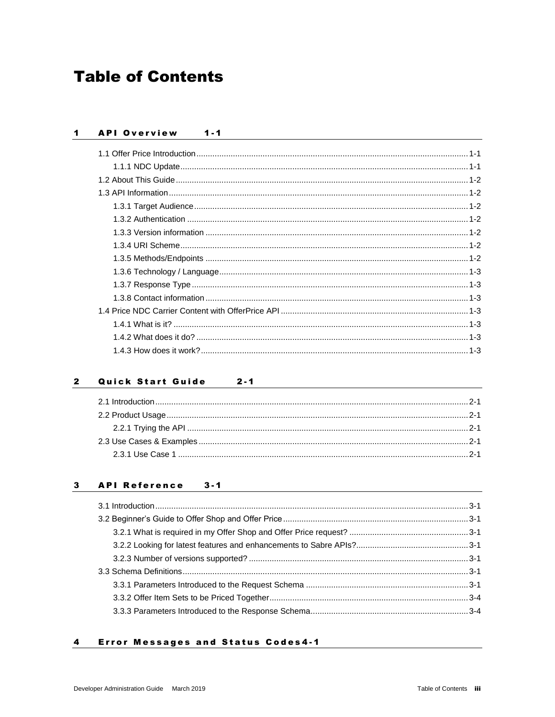### **Table of Contents**

#### 1 API Overview  $1 - 1$

#### 2 Quick Start Guide  $2 - 1$

#### 3 API Reference  $3 - 1$

#### **Error Messages and Status Codes4-1**  $\overline{\mathbf{4}}$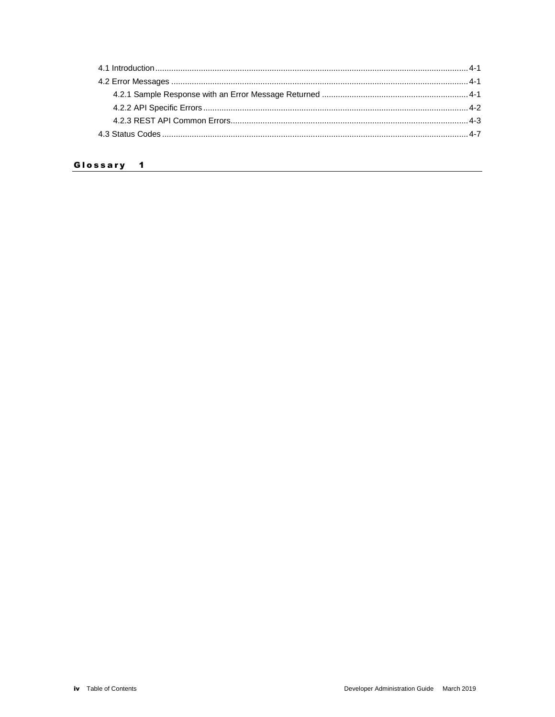### Glossary 1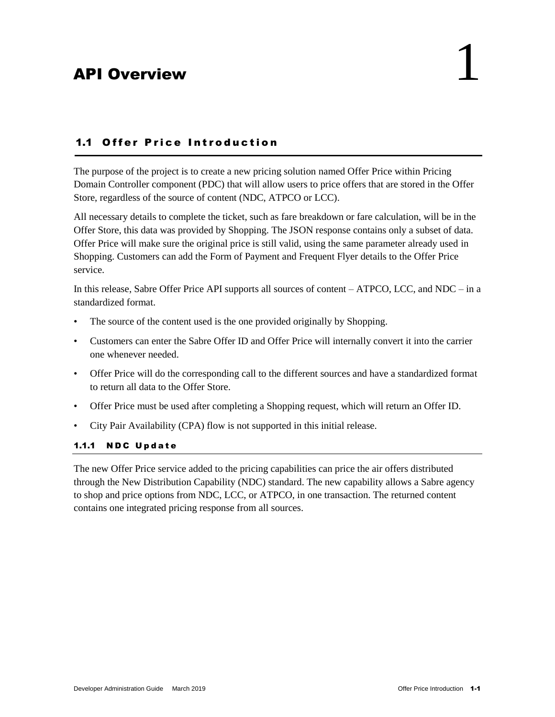# API Overview 1

#### 1.1 Offer Price Introduction

The purpose of the project is to create a new pricing solution named Offer Price within Pricing Domain Controller component (PDC) that will allow users to price offers that are stored in the Offer Store, regardless of the source of content (NDC, ATPCO or LCC).

All necessary details to complete the ticket, such as fare breakdown or fare calculation, will be in the Offer Store, this data was provided by Shopping. The JSON response contains only a subset of data. Offer Price will make sure the original price is still valid, using the same parameter already used in Shopping. Customers can add the Form of Payment and Frequent Flyer details to the Offer Price service.

In this release, Sabre Offer Price API supports all sources of content – ATPCO, LCC, and NDC – in a standardized format.

- The source of the content used is the one provided originally by Shopping.
- Customers can enter the Sabre Offer ID and Offer Price will internally convert it into the carrier one whenever needed.
- Offer Price will do the corresponding call to the different sources and have a standardized format to return all data to the Offer Store.
- Offer Price must be used after completing a Shopping request, which will return an Offer ID.
- City Pair Availability (CPA) flow is not supported in this initial release.

#### 1.1.1 NDC Update

The new Offer Price service added to the pricing capabilities can price the air offers distributed through the New Distribution Capability (NDC) standard. The new capability allows a Sabre agency to shop and price options from NDC, LCC, or ATPCO, in one transaction. The returned content contains one integrated pricing response from all sources.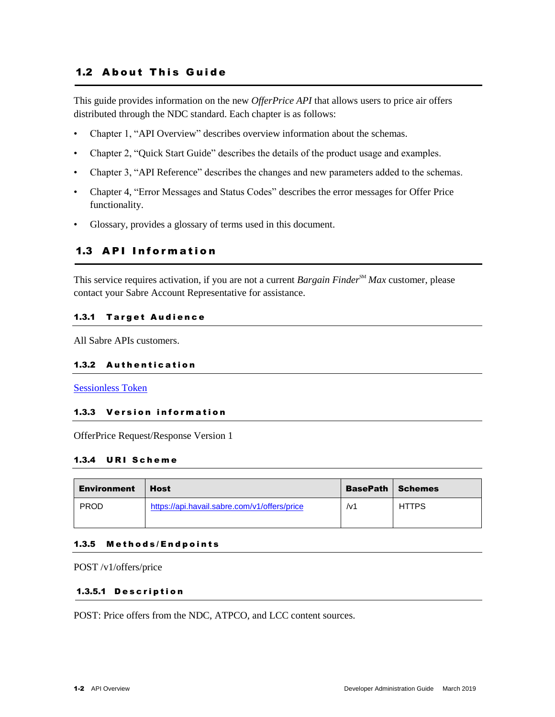#### 1.2 About This Guide

This guide provides information on the new *OfferPrice API* that allows users to price air offers distributed through the NDC standard. Each chapter is as follows:

- Chapter 1, "API Overview" describes overview information about the schemas.
- Chapter 2, "Quick Start Guide" describes the details of the product usage and examples.
- Chapter 3, ["API Reference"](#page-16-0) describes the changes and new parameters added to the schemas.
- Chapter 4, "Error Messages and Status Codes" describes the error messages for Offer Price functionality.
- [Glossary,](#page-41-0) provides a glossary of terms used in this document.

#### 1.3 API Information

This service requires activation, if you are not a current *Bargain Finder*<sup>SM</sup> *Max* customer, please contact your Sabre Account Representative for assistance.

#### 1.3.1 Target Audience

All Sabre APIs customers.

#### 1.3.2 Authentication

**[Sessionless Token](https://developer.sabre.com/resources/getting_started_with_sabre_apis/how_to_get_a_token)** 

#### 1.3.3 Version information

OfferPrice Request/Response Version 1

#### 1.3.4 URI Scheme

| <b>Environment</b> | Host                                         | <b>BasePath   Schemes</b> |              |
|--------------------|----------------------------------------------|---------------------------|--------------|
| <b>PROD</b>        | https://api.havail.sabre.com/v1/offers/price | /v1                       | <b>HTTPS</b> |

#### 1.3.5 Methods/Endpoints

POST /v1/offers/price

#### 1.3.5.1 Description

POST: Price offers from the NDC, ATPCO, and LCC content sources.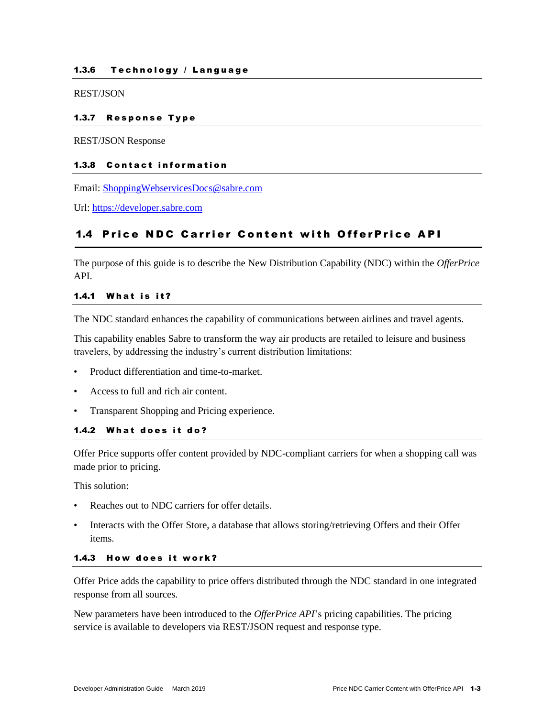#### 1.3.6 Technology / Language

REST/JSON

#### 1.3.7 Response Type

REST/JSON Response

#### 1.3.8 Contact information

Email: [ShoppingWebservicesDocs@sabre.com](mailto:ShoppingWebservicesDocs@sabre.com)

Url: [https://developer.sabre.com](https://developer.sabre.com/)

#### 1.4 Price NDC Carrier Content with OfferPrice API

The purpose of this guide is to describe the New Distribution Capability (NDC) within the *OfferPrice* API.

#### 1.4.1 What is it?

The NDC standard enhances the capability of communications between airlines and travel agents.

This capability enables Sabre to transform the way air products are retailed to leisure and business travelers, by addressing the industry's current distribution limitations:

- Product differentiation and time-to-market.
- Access to full and rich air content.
- Transparent Shopping and Pricing experience.

#### $1.4.2$  What does it do?

Offer Price supports offer content provided by NDC-compliant carriers for when a shopping call was made prior to pricing.

This solution:

- Reaches out to NDC carriers for offer details.
- Interacts with the Offer Store, a database that allows storing/retrieving Offers and their Offer items.

#### $1.4.3$  How does it work?

Offer Price adds the capability to price offers distributed through the NDC standard in one integrated response from all sources.

New parameters have been introduced to the *OfferPrice API*'s pricing capabilities. The pricing service is available to developers via REST/JSON request and response type.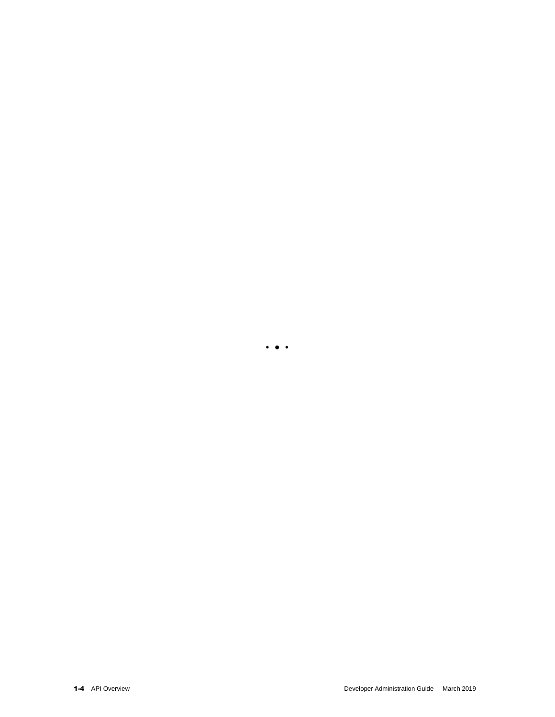• • •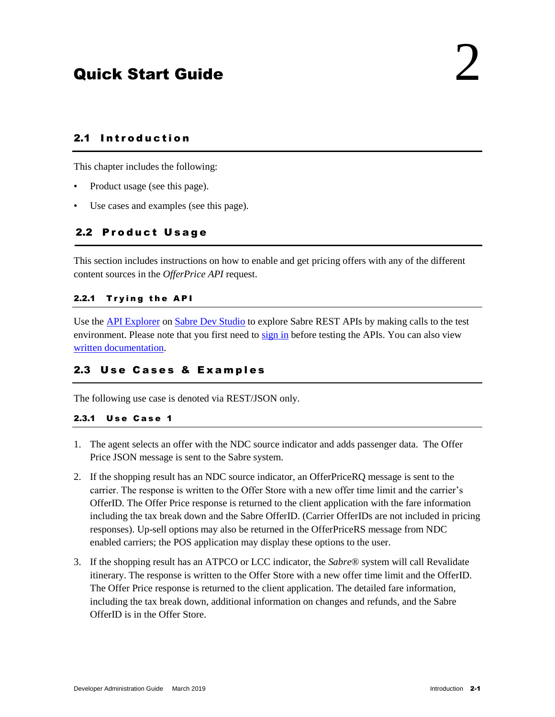# auick Start Guide 2

#### 2.1 Introduction

This chapter includes the following:

- Product usage (see this page).
- Use cases and examples (see this page).

#### 2.2 Product Usage

This section includes instructions on how to enable and get pricing offers with any of the different content sources in the *OfferPrice API* request.

#### 2.2.1 Trying the API

Use the [API Explorer](https://developer.sabre.com/io-docs) on [Sabre Dev Studio](https://developer.sabre.com/) to explore Sabre REST APIs by making calls to the test environment. Please note that you first need to [sign in](https://developer.sabre.com/login) before testing the APIs. You can also view [written documentation.](https://developer.sabre.com/docs)

#### 2.3 Use Cases & Examples

The following use case is denoted via REST/JSON only.

#### 2.3.1 Use Case 1

- 1. The agent selects an offer with the NDC source indicator and adds passenger data. The Offer Price JSON message is sent to the Sabre system.
- 2. If the shopping result has an NDC source indicator, an OfferPriceRQ message is sent to the carrier. The response is written to the Offer Store with a new offer time limit and the carrier's OfferID. The Offer Price response is returned to the client application with the fare information including the tax break down and the Sabre OfferID. (Carrier OfferIDs are not included in pricing responses). Up-sell options may also be returned in the OfferPriceRS message from NDC enabled carriers; the POS application may display these options to the user.
- 3. If the shopping result has an ATPCO or LCC indicator, the *Sabre*® system will call Revalidate itinerary. The response is written to the Offer Store with a new offer time limit and the OfferID. The Offer Price response is returned to the client application. The detailed fare information, including the tax break down, additional information on changes and refunds, and the Sabre OfferID is in the Offer Store.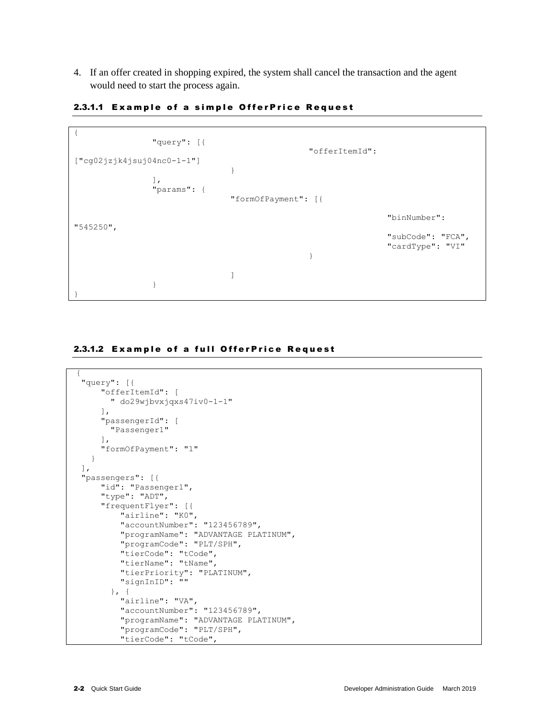4. If an offer created in shopping expired, the system shall cancel the transaction and the agent would need to start the process again.

|                              | "query": [{                   | "offerItemId":      |                                                       |
|------------------------------|-------------------------------|---------------------|-------------------------------------------------------|
| $["cg02jzjk4jsuj04nc0-1-1"]$ | $\overline{ }$<br>"params": { | "formOfPayment": [{ |                                                       |
| "545250"                     |                               |                     | "binNumber":<br>"subCode": "FCA",<br>"cardType": "VI" |
|                              |                               |                     |                                                       |

#### 2.3.1.1 Example of a simple OfferPrice Request

#### 2.3.1.2 Example of a full OfferPrice Request

```
{
 "query": [{
     "offerItemId": [
       " do29wjbvxjqxs47iv0-1-1"
     \left| \cdot \right| "passengerId": [
       "Passenger1"
     \cdot "formOfPayment": "1"
   }
],
 "passengers": [{
     "id": "Passenger1",
      "type": "ADT",
      "frequentFlyer": [{
          "airline": "K0",
          "accountNumber": "123456789",
          "programName": "ADVANTAGE PLATINUM",
          "programCode": "PLT/SPH",
          "tierCode": "tCode",
          "tierName": "tName",
          "tierPriority": "PLATINUM",
          "signInID": ""
        }, {
          "airline": "VA",
          "accountNumber": "123456789",
          "programName": "ADVANTAGE PLATINUM",
          "programCode": "PLT/SPH",
          "tierCode": "tCode",
```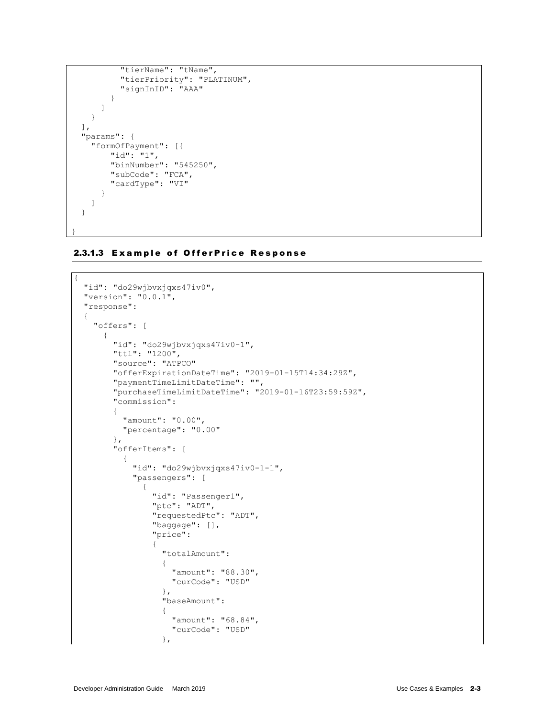```
 "tierName": "tName",
           "tierPriority": "PLATINUM",
           "signInID": "AAA"
 }
      ]
    }
 ],
  "params": {
    "formOfPayment": [{
         "id": "1",
         "binNumber": "545250",
         "subCode": "FCA",
         "cardType": "VI"
      }
    ]
  }
}
```
#### 2.3.1.3 Example of OfferPrice Response

```
{
   "id": "do29wjbvxjqxs47iv0",
   "version": "0.0.1",
   "response":
   {
      "offers": [
         {
            "id": "do29wjbvxjqxs47iv0-1",
            "ttl": "1200",
            "source": "ATPCO"
 "offerExpirationDateTime": "2019-01-15T14:34:29Z",
 "paymentTimeLimitDateTime": "",
            "purchaseTimeLimitDateTime": "2019-01-16T23:59:59Z",
            "commission":
\overline{\mathcal{L}} "amount": "0.00",
               "percentage": "0.00"
            },
            "offerItems": [
\{"id": "do29wjbvxjqxs47iv0-1-1",
                  "passengers": [
 {
                        "id": "Passenger1",
                        "ptc": "ADT",
                         "requestedPtc": "ADT",
                         "baggage": [],
                         "price":
\left\{ \begin{array}{ccc} 1 & 0 & 0 \\ 0 & 0 & 0 \\ 0 & 0 & 0 \\ 0 & 0 & 0 \\ 0 & 0 & 0 \\ 0 & 0 & 0 \\ 0 & 0 & 0 \\ 0 & 0 & 0 \\ 0 & 0 & 0 \\ 0 & 0 & 0 \\ 0 & 0 & 0 \\ 0 & 0 & 0 \\ 0 & 0 & 0 \\ 0 & 0 & 0 & 0 \\ 0 & 0 & 0 & 0 \\ 0 & 0 & 0 & 0 \\ 0 & 0 & 0 & 0 & 0 \\ 0 & 0 & 0 & 0 & 0 \\ 0 & 0 & 0 & 0 & 0 \\ 0 & 0 & 0 & 0 "totalAmount":
                           {
                               "amount": "88.30",
                              "curCode": "USD"
                           },
                           "baseAmount":
                           {
                               "amount": "68.84",
                              "curCode": "USD"
                           },
```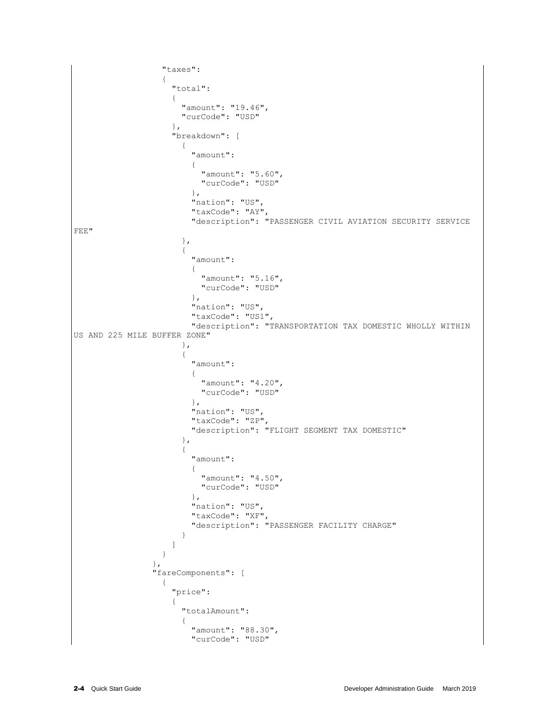```
 "taxes":
 {
              "total":
             {
               "amount": "19.46",
              "curCode": "USD"
 },
             "breakdown": [
{
                 "amount":
{
                  "amount": "5.60",
                 "curCode": "USD"
 },
                "nation": "US",
                "taxCode": "AY",
                "description": "PASSENGER CIVIL AVIATION SECURITY SERVICE 
FEE"
 },
               {
                 "amount":
                {
                  "amount": "5.16",
                  "curCode": "USD"
 },
                "nation": "US",
                "taxCode": "US1",
                "description": "TRANSPORTATION TAX DOMESTIC WHOLLY WITHIN 
US AND 225 MILE BUFFER ZONE"
 },
               {
                 "amount":
                {
 "amount": "4.20",
                  "curCode": "USD"
 },
 "nation": "US",
 "taxCode": "ZP",
                "description": "FLIGHT SEGMENT TAX DOMESTIC"
 },
               {
                 "amount":
                {
                  "amount": "4.50",
                 "curCode": "USD"
 },
                },<br>"nation": "US",
                "taxCode": "XF",
 "description": "PASSENGER FACILITY CHARGE"
 }
 ]
 }
 },
            "fareComponents": [
 {
              "price":
             {
                "totalAmount":
               {
                 "amount": "88.30",
                "curCode": "USD"
```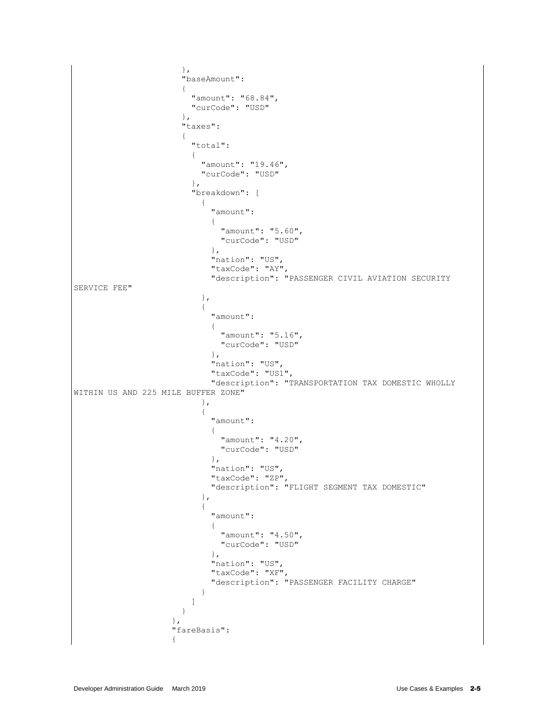```
 },
                   "baseAmount":
                   {
                      "amount": "68.84",
                     "curCode": "USD"
 },
                   "taxes":
                   {
                      "total":
                     {
                       "amount": "19.46",
                      "curCode": "USD"
 },
                     "breakdown": [
\{ "amount":
                         {
                           "amount": "5.60",
                          "curCode": "USD"
 },
                         "nation": "US",
                         "taxCode": "AY",
                         "description": "PASSENGER CIVIL AVIATION SECURITY 
SERVICE FEE"
 },
                       {
                         "amount":
                        {
                           "amount": "5.16",
                          "curCode": "USD"
 },
                        },<br>"nation": "US",
                         "taxCode": "US1",
                         "description": "TRANSPORTATION TAX DOMESTIC WHOLLY 
WITHIN US AND 225 MILE BUFFER ZONE"
 },
{
                          "amount":
                        {
                           "amount": "4.20",
                          "curCode": "USD"
 },
                        },<br>"nation": "US",
                         "taxCode": "ZP",
                         "description": "FLIGHT SEGMENT TAX DOMESTIC"
 },
                       {
                          "amount":
 {
                           "amount": "4.50",
                          "curCode": "USD"
 },
                         "nation": "US",
                         "taxCode": "XF",
                         "description": "PASSENGER FACILITY CHARGE"
 }
\sim 100 \sim 100 \sim 100 \sim 100 \sim 100 \sim 100 \sim 100 \sim 100 \sim 100 \sim 100 \sim 100 \sim 100 \sim 100 \sim 100 \sim 100 \sim 100 \sim 100 \sim 100 \sim 100 \sim 100 \sim 100 \sim 100 \sim 100 \sim 100 \sim 
 }
 },
                 "fareBasis":
                  {
```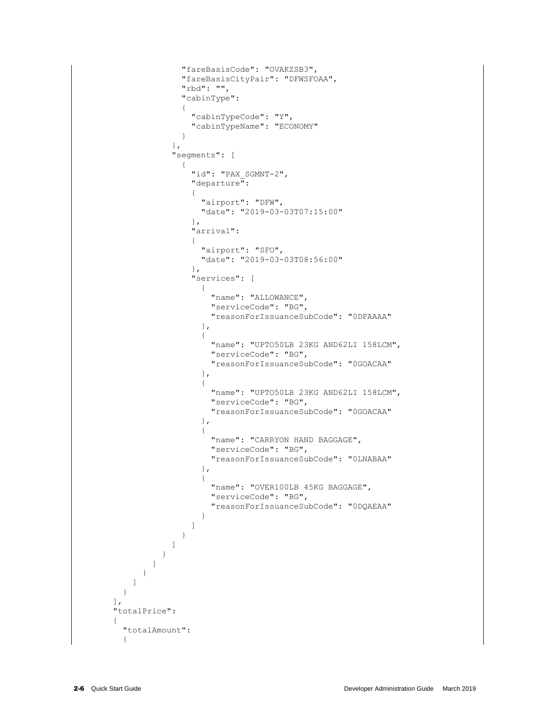```
 "fareBasisCode": "OVAKZSB3",
                      "fareBasisCityPair": "DFWSFOAA",
                      "rbd": "",
                      "cabinType":
                      {
                        "cabinTypeCode": "Y",
                       "cabinTypeName": "ECONOMY"
 }
 },
                    "segments": [
\{"id": "PAX SGMNT-2",
                       "departure":
                        {
                          "airport": "DFW",
                         "date": "2019-03-03T07:15:00"
 },
                        "arrival":
                        {
                          "airport": "SFO",
                         "date": "2019-03-03T08:56:00"
 },
                        "services": [
{
                            "name": "ALLOWANCE",
                           "serviceCode": "BG",
                             "reasonForIssuanceSubCode": "0DFAAAA"
 },
                          {
                            "name": "UPTO50LB 23KG AND62LI 158LCM",
                            "serviceCode": "BG",
                             "reasonForIssuanceSubCode": "0GOACAA"
 },
                          {
                            "name": "UPTO50LB 23KG AND62LI 158LCM",
                            "serviceCode": "BG",
                            "reasonForIssuanceSubCode": "0GOACAA"
 },
                         \left\{ \begin{array}{c} \uparrow \\ \uparrow \end{array} \right."name": "CARRYON HAND BAGGAGE",
                            "serviceCode": "BG",
                            "reasonForIssuanceSubCode": "0LNABAA"
 },
                         \frac{1}{1} "name": "OVER100LB 45KG BAGGAGE",
                            "serviceCode": "BG",
                            "reasonForIssuanceSubCode": "0DQAEAA"
 }
\sim 100 \sim 100 \sim 100 \sim 100 \sim 100 \sim 100 \sim 100 \sim 100 \sim 100 \sim 100 \sim 100 \sim 100 \sim 100 \sim 100 \sim 100 \sim 100 \sim 100 \sim 100 \sim 100 \sim 100 \sim 100 \sim 100 \sim 100 \sim 100 \sim 
 }
 ]
 }
             \begin{matrix} 1 \end{matrix} }
            ]
          }
        ],
        "totalPrice":
        {
          "totalAmount":
\{
```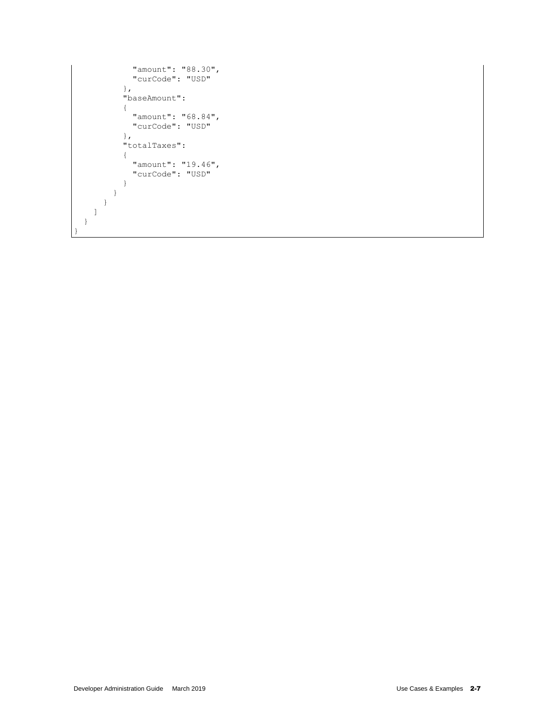```
 "amount": "88.30",
 "curCode": "USD"
        },
        "baseAmount":
        {
 "amount": "68.84",
 "curCode": "USD"
        },
        "totalTaxes":
        {
 "amount": "19.46",
 "curCode": "USD"
      \qquad \} }
    }
   ]
 }
}
```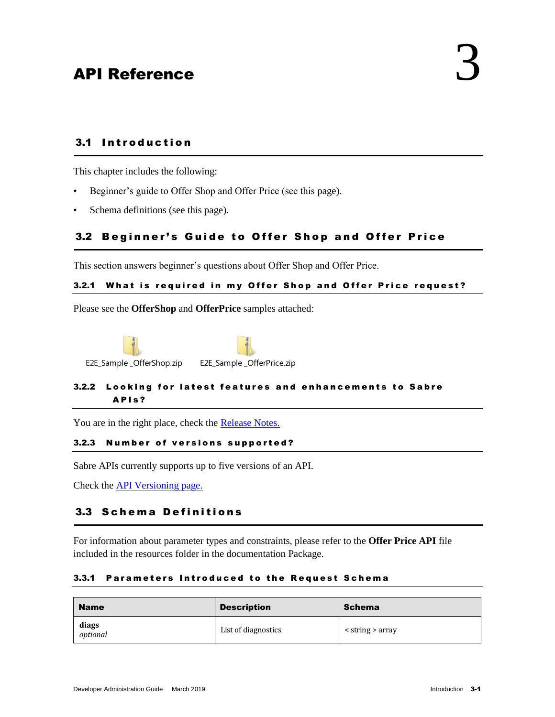# <span id="page-16-0"></span>API Reference 3

#### 3.1 Introduction

This chapter includes the following:

- Beginner's guide to Offer Shop and Offer Price (see this page).
- Schema definitions (see this page).

#### 3.2 Beginner's Guide to Offer Shop and Offer Price

This section answers beginner's questions about Offer Shop and Offer Price.

#### 3.2.1 What is required in my Offer Shop and Offer Price request?

Please see the **OfferShop** and **OfferPrice** samples attached:



E2E\_Sample \_OfferShop.zip E2E\_Sample \_OfferPrice.zip

#### 3.2.2 Looking for latest features and enhancements to Sabre A P I s ?

You are in the right place, check the [Release Notes.](https://releasenotes.developer.sabre.com/)

#### 3.2.3 Number of versions supported?

Sabre APIs currently supports up to five versions of an API.

Check the [API Versioning](https://developer.sabre.com/resources/api_versioning) page.

#### 3.3 Schema Definitions

For information about parameter types and constraints, please refer to the **Offer Price API** file included in the resources folder in the documentation Package.

#### 3.3.1 Parameters Introduced to the Request Schema

| <b>Name</b>       | <b>Description</b>  | Schema                 |
|-------------------|---------------------|------------------------|
| diags<br>optional | List of diagnostics | $\le$ string $>$ array |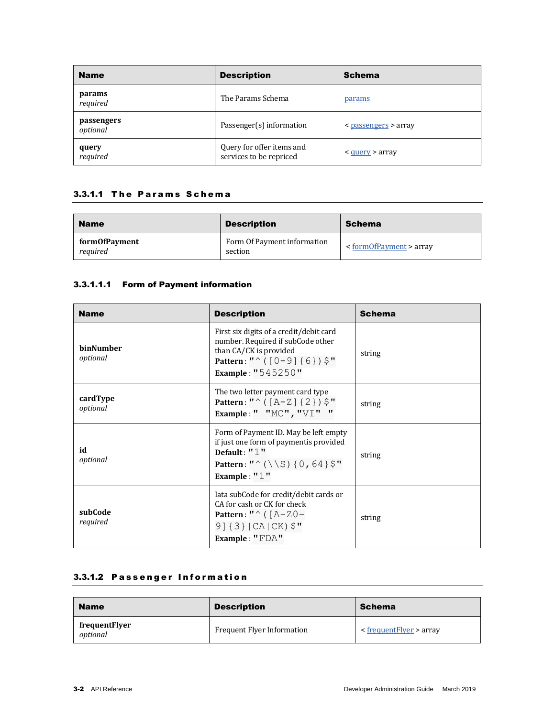| <b>Name</b>            | <b>Description</b>                                   | <b>Schema</b>         |
|------------------------|------------------------------------------------------|-----------------------|
| params<br>required     | The Params Schema                                    | <u>params</u>         |
| passengers<br>optional | Passenger(s) information                             | < passengers > array  |
| query<br>required      | Query for offer items and<br>services to be repriced | $\le$ query $>$ array |

#### 3.3.1.1 The Params Schema

| <b>Name</b>               | <b>Description</b>                     | Schema                           |
|---------------------------|----------------------------------------|----------------------------------|
| form0fPayment<br>required | Form Of Payment information<br>section | $\leq$ form Of Payment $>$ array |

#### 3.3.1.1.1 Form of Payment information

| <b>Name</b>           | <b>Description</b>                                                                                                                                                                         | <b>Schema</b> |
|-----------------------|--------------------------------------------------------------------------------------------------------------------------------------------------------------------------------------------|---------------|
| binNumber<br>optional | First six digits of a credit/debit card<br>number. Required if subCode other<br>than CA/CK is provided<br><b>Pattern</b> : "^( $[0-9]$ {6}) $\frac{1}{2}$ "<br><b>Example</b> : $"545250"$ | string        |
| cardType<br>optional  | The two letter payment card type<br><b>Pattern</b> : " $\hat{(-A-Z)}$ { 2 } ) $\hat{S}$ "<br>Example: " $MC$ ", " $VI$ " "                                                                 | string        |
| id<br>optional        | Form of Payment ID. May be left empty<br>if just one form of paymentis provided<br>Default: $"1"$<br><b>Pattern</b> : " $\land$ ( \ \ S) { 0, 64 } \$ "<br>Example : $"1"$                 | string        |
| subCode<br>required   | lata subCode for credit/debit cards or<br>CA for cash or CK for check<br><b>Pattern</b> : " $\hat{ }$ ( $[A-Z0-$<br>$9$   { 3 }   CA   CK } \$"<br>Example: "FDA"                          | string        |

#### 3.3.1.2 Passenger Information

| <b>Name</b>               | <b>Description</b>         | Schema                   |
|---------------------------|----------------------------|--------------------------|
| frequentFlyer<br>optional | Frequent Flyer Information | < frequent Flyer > array |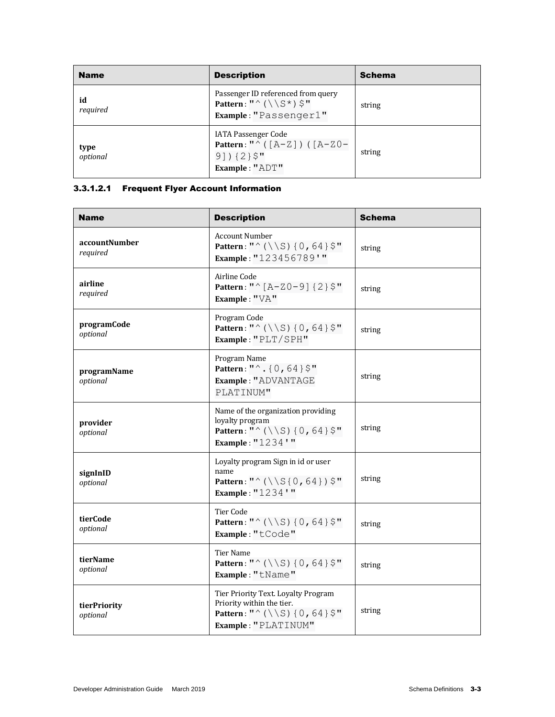| <b>Name</b>      | <b>Description</b>                                                                                   | <b>Schema</b> |
|------------------|------------------------------------------------------------------------------------------------------|---------------|
| id<br>required   | Passenger ID referenced from query<br>Pattern: "^(\\S*) $\$ "<br>Example: "Passenger1"               | string        |
| type<br>optional | IATA Passenger Code<br><b>Pattern</b> : $"\wedge ((A-Z)) ((A-Z0-$<br>$91)$ {2} \$"<br>Example: "ADT" | string        |

#### 3.3.1.2.1 Frequent Flyer Account Information

| <b>Name</b>               | <b>Description</b>                                                                                                                                    | <b>Schema</b> |
|---------------------------|-------------------------------------------------------------------------------------------------------------------------------------------------------|---------------|
| accountNumber<br>required | Account Number<br><b>Pattern</b> : " $\land$ ( $\setminus$ \S) { 0, 64 } \$ "<br>Example: "123456789'"                                                | string        |
| airline<br>required       | Airline Code<br>Pattern: "^ $[A-Z0-9]$ {2} \$"<br>Example: "VA"                                                                                       | string        |
| programCode<br>optional   | Program Code<br><b>Pattern</b> : " $\land$ ( $\setminus$ \S) { 0, 64 } \$ "<br>Example: "PLT/SPH"                                                     | string        |
| programName<br>optional   | Program Name<br><b>Pattern</b> : " $^{\wedge}$ . { 0, 64 } \$ "<br>Example: "ADVANTAGE<br>PLATINUM"                                                   | string        |
| provider<br>optional      | Name of the organization providing<br>loyalty program<br><b>Pattern</b> : " $\land$ ( \ \ S) { 0, 64 } \$ "<br>Example: "1234'"                       | string        |
| signInID<br>optional      | Loyalty program Sign in id or user<br>name<br>Pattern: " ^ ( \ \ S { 0, 64 } ) $\$ "<br>Example: "1234 ' "                                            | string        |
| tierCode<br>optional      | Tier Code<br><b>Pattern</b> : " $\land$ ( \ \ S ) { 0, 64 } \$ "<br>Example: "tCode"                                                                  | string        |
| tierName<br>optional      | Tier Name<br><b>Pattern</b> : " $\land$ ( $\setminus$ \S) { 0, 64 } \$ "<br>Example: "tName"                                                          | string        |
| tierPriority<br>optional  | Tier Priority Text. Loyalty Program<br>Priority within the tier.<br><b>Pattern</b> : " $\land$ ( $\setminus$ \S) { 0, 64 } \$"<br>Example: "PLATINUM" | string        |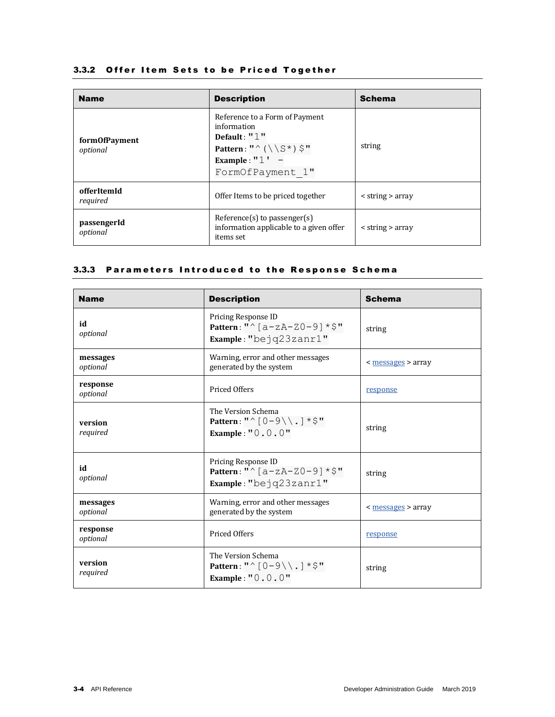#### 3.3.2 Offer Item Sets to be Priced Together

| <b>Name</b>               | <b>Description</b>                                                                                                                                                  | <b>Schema</b>          |
|---------------------------|---------------------------------------------------------------------------------------------------------------------------------------------------------------------|------------------------|
| form0fPayment<br>optional | Reference to a Form of Payment<br>information<br>Default: $"1"$<br>Pattern: " $\land$ ( $\setminus$ \S $\star$ ) $\circ$ "<br>Example : $"1" -$<br>FormOfPayment 1" | string                 |
| offerItemId<br>required   | Offer Items to be priced together                                                                                                                                   | $\le$ string $>$ array |
| passengerId<br>optional   | $Reference(s)$ to passenger(s)<br>information applicable to a given offer<br>items set                                                                              | $\le$ string $>$ array |

#### 3.3.3 Parameters Introduced to the Response Schema

| <b>Name</b>          | <b>Description</b>                                                                                    | <b>Schema</b>          |
|----------------------|-------------------------------------------------------------------------------------------------------|------------------------|
| id<br>optional       | Pricing Response ID<br>Pattern: $"\uparrow$ [a-zA-Z0-9] *\$"<br>Example: "beginq23zanr1"              | string                 |
| messages<br>optional | Warning, error and other messages<br>generated by the system                                          | $<$ messages $>$ array |
| response<br>optional | Priced Offers                                                                                         | response               |
| version<br>required  | The Version Schema<br>Example: $"0.0.0"$                                                              | string                 |
| id<br>optional       | Pricing Response ID<br><b>Pattern</b> : " $\land$ [a-zA-Z0-9] $\star$ \$"<br>Example: "beginq23zanr1" | string                 |
| messages<br>optional | Warning, error and other messages<br>generated by the system                                          | $<$ messages $>$ array |
| response<br>optional | Priced Offers                                                                                         | response               |
| version<br>required  | The Version Schema<br>Example: $"0.0.0"$                                                              | string                 |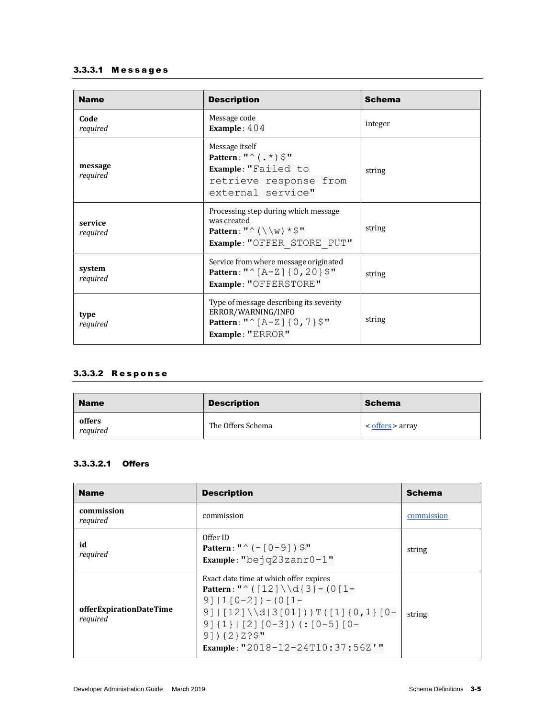#### 3.3.3.1 M e s s a g e s

| <b>Name</b>         | <b>Description</b>                                                                                                                     | <b>Schema</b> |
|---------------------|----------------------------------------------------------------------------------------------------------------------------------------|---------------|
| Code<br>required    | Message code<br>Example: $404$                                                                                                         | integer       |
| message<br>required | Message itself<br>Pattern: $"\wedge$ ( . * ) $\hat{S}$ "<br>Example: "Failed to<br>retrieve response from<br>external service"         | string        |
| service<br>required | Processing step during which message<br>was created<br>Pattern: "^ $(\setminus \setminus w) * \xi$ "<br>Example: "OFFER STORE PUT"     | string        |
| system<br>required  | Service from where message originated<br><b>Pattern</b> : " $^{\wedge}$ [A-Z] { 0, 20 } \$"<br>Example: "OFFERSTORE"                   | string        |
| type<br>reguired    | Type of message describing its severity<br>ERROR/WARNING/INFO<br><b>Pattern</b> : " $^{\wedge}$ [A-Z] { 0, 7 } \$"<br>Example: "ERROR" | string        |

#### 3.3.3.2 R e s p o n s e

| <b>Name</b>        | <b>Description</b> | Schema           |
|--------------------|--------------------|------------------|
| offers<br>required | The Offers Schema  | < offers > array |

#### 3.3.3.2.1 Offers

| <b>Name</b>                                | <b>Description</b>                                                                                                                                                                                                                                            | <b>Schema</b> |
|--------------------------------------------|---------------------------------------------------------------------------------------------------------------------------------------------------------------------------------------------------------------------------------------------------------------|---------------|
| commission<br>required                     | commission                                                                                                                                                                                                                                                    | commission    |
| id<br>required                             | Offer ID<br><b>Pattern</b> : " $\land$ ( - [0 - 9]) $\Diamond$ "<br>$Example: "beginq23zanr0-1"$                                                                                                                                                              | string        |
| <i>offerExpirationDateTime</i><br>required | Exact date time at which offer expires<br><b>Pattern</b> : " $(12) \ d\{3\} - (0)$<br>$91   1 [0-2]) - (0 [1-$<br>$9$ ]   [12] \\d 3[01]) ) T([1] {0, 1} [0-<br>$9$ ]{1} [2][0-3])(:[0-5][0-<br>$91)$ {2} $2$ ?\$"<br><b>Example:</b> "2018-12-24T10:37:56Z'" | string        |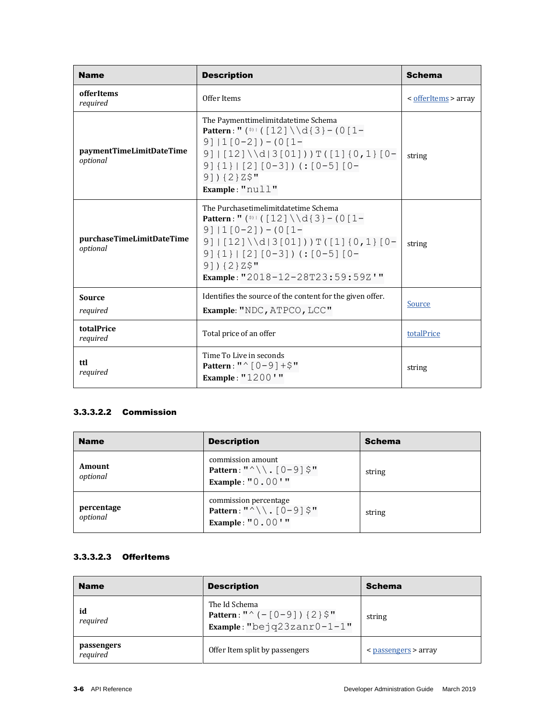| <b>Name</b>                           | <b>Description</b>                                                                                                                                                                                                                                                                                                                         | <b>Schema</b>              |
|---------------------------------------|--------------------------------------------------------------------------------------------------------------------------------------------------------------------------------------------------------------------------------------------------------------------------------------------------------------------------------------------|----------------------------|
| offerItems<br>required                | Offer Items                                                                                                                                                                                                                                                                                                                                | $\le$ offerltems $>$ array |
| paymentTimeLimitDateTime<br>optional  | The Paymenttimelimitdatetime Schema<br><b>Pattern</b> : " $(S)$ ([12] \\d{3} - (0[1-<br>$9$ ] $1$ [0-2]) - (0[1-<br>$9$ ]   [12] \\d 3[01]) ) T([1] {0, 1} [0-<br>$9$ ] {1}   [2] [0-3]) (: [0-5] [0-<br>$9]$ ) {2}Z\$"<br>Example: "null"                                                                                                 | string                     |
| purchaseTimeLimitDateTime<br>optional | The Purchasetimelimitdatetime Schema<br><b>Pattern</b> : " $({}^{\$})$ $({}^{\$})$ $({}^{\$})$ $({}^{\$})$ $({}^{\$})$ $({}^{\$})$ $({}^{\$})$ $({}^{\$})$ $({}^{\$})$<br>$9111[0-2]$ ) - (0[1-<br>$9$ ]   [12] \\d 3[01]) ) T([1] {0, 1} [0-<br>$9$ ] {1}   [2] [0-3]) (: [0-5] [0-<br>$91)$ {2} Z\$"<br>Example: "2018-12-28T23:59:59Z'" | string                     |
| <b>Source</b><br>required             | Identifies the source of the content for the given offer.<br>Example: "NDC, ATPCO, LCC"                                                                                                                                                                                                                                                    | Source                     |
| totalPrice<br>required                | Total price of an offer                                                                                                                                                                                                                                                                                                                    | totalPrice                 |
| ttl<br>required                       | Time To Live in seconds<br><b>Pattern</b> : " $\cap$ $[0-9]+$ \$"<br>Example: "1200'"                                                                                                                                                                                                                                                      | string                     |

#### 3.3.3.2.2 Commission

| <b>Name</b>            | <b>Description</b>                                                                  | <b>Schema</b> |
|------------------------|-------------------------------------------------------------------------------------|---------------|
| Amount<br>optional     | commission amount<br>Pattern: "^\\. $[0-9]$ \$"<br>Example: $"0.00"$                | string        |
| percentage<br>optional | commission percentage<br>Pattern: $"\wedge\$ . [0-9] $\circ$ "<br>Example: $"0.00"$ | string        |

#### 3.3.3.2.3 OfferItems

| <b>Name</b>            | <b>Description</b>                                                               | <b>Schema</b>        |
|------------------------|----------------------------------------------------------------------------------|----------------------|
| id<br>required         | The Id Schema<br><b>Pattern</b> : "^(-[0-9]){2}\$"<br>Example: "bejq23zanr0-1-1" | string               |
| passengers<br>required | Offer Item split by passengers                                                   | < passengers > array |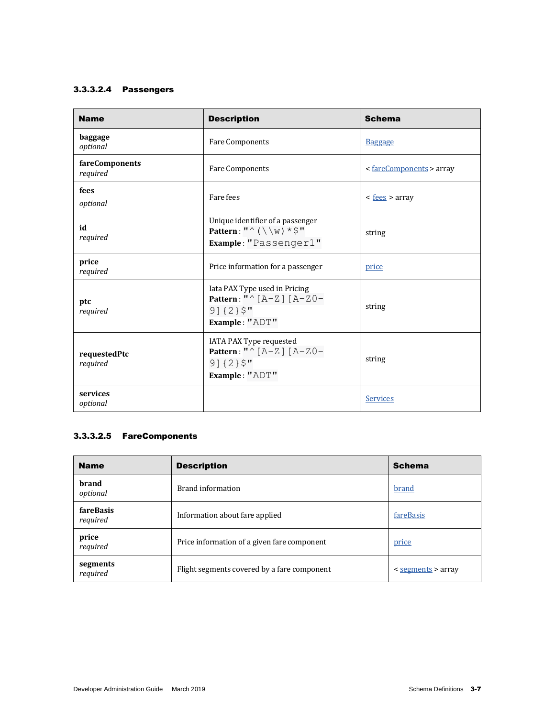#### 3.3.3.2.4 Passengers

| <b>Name</b>                | <b>Description</b>                                                                                   | <b>Schema</b>                           |
|----------------------------|------------------------------------------------------------------------------------------------------|-----------------------------------------|
| baggage<br>optional        | <b>Fare Components</b>                                                                               | <b>Baggage</b>                          |
| fareComponents<br>required | <b>Fare Components</b>                                                                               | <farecomponents> array</farecomponents> |
| fees<br>optional           | Fare fees                                                                                            | $\le$ <u>fees</u> $>$ array             |
| id<br>required             | Unique identifier of a passenger<br>Pattern: " $\wedge$ ( \ \w) * $\zeta$ "<br>Example: "Passenger1" | string                                  |
| price<br>required          | Price information for a passenger                                                                    | price                                   |
| ptc<br>required            | Iata PAX Type used in Pricing<br>Pattern: " $^{\wedge}$ [A-Z] [A-Z0-<br>$91 {2}$<br>Example: "ADT"   | string                                  |
| requestedPtc<br>required   | IATA PAX Type requested<br>Pattern: " $^{\wedge}$ [A-Z] [A-Z0-<br>$9112$ }\$"<br>Example: "ADT"      | string                                  |
| services<br>optional       |                                                                                                      | <b>Services</b>                         |

#### 3.3.3.2.5 FareComponents

| <b>Name</b>              | <b>Description</b>                          | <b>Schema</b>      |
|--------------------------|---------------------------------------------|--------------------|
| <b>brand</b><br>optional | Brand information                           | <b>brand</b>       |
| fareBasis<br>required    | Information about fare applied              | fareBasis          |
| price<br>required        | Price information of a given fare component | price              |
| segments<br>required     | Flight segments covered by a fare component | < segments > array |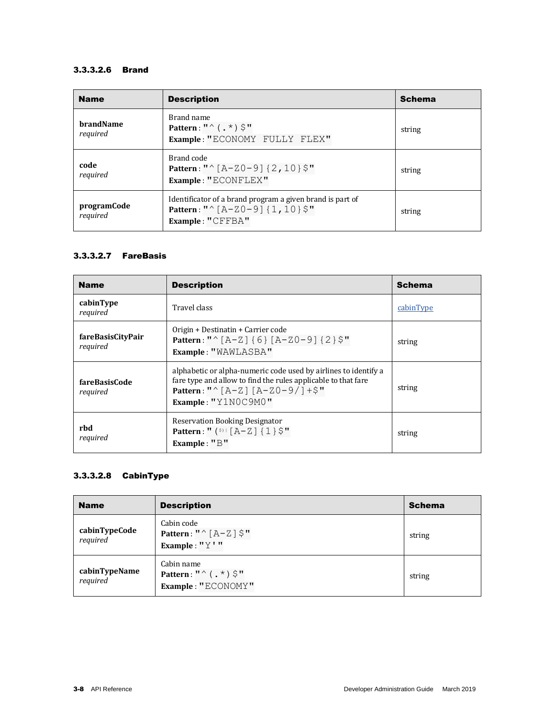#### 3.3.3.2.6 Brand

| <b>Name</b>             | <b>Description</b>                                                                                                   | <b>Schema</b> |
|-------------------------|----------------------------------------------------------------------------------------------------------------------|---------------|
| brandName<br>required   | Brand name<br>Pattern: $"\wedge$ ( . * ) $\sin$<br>Example: "ECONOMY FULLY FLEX"                                     | string        |
| code<br>required        | Brand code<br>Pattern: "^ $[A-Z0-9]$ { 2, 10 } \$"<br>Example: "ECONFLEX"                                            | string        |
| programCode<br>required | Identificator of a brand program a given brand is part of<br>Pattern: " $^(A-Z0-9]$ {1, 10 } \$"<br>Example: "CFFBA" | string        |

#### 3.3.3.2.7 FareBasis

| <b>Name</b>                   | <b>Description</b>                                                                                                                                                                                                    | <b>Schema</b> |
|-------------------------------|-----------------------------------------------------------------------------------------------------------------------------------------------------------------------------------------------------------------------|---------------|
| cabinType<br>required         | Travel class                                                                                                                                                                                                          | cabinType     |
| fareBasisCityPair<br>required | Origin + Destinatin + Carrier code<br><b>Pattern</b> : "^[A-Z]{6}[A-Z0-9]{2}\$"<br>Example: "WAWLASBA"                                                                                                                | string        |
| fareBasisCode<br>required     | alphabetic or alpha-numeric code used by airlines to identify a<br>fare type and allow to find the rules applicable to that fare<br><b>Pattern</b> : " $\wedge$ [A-Z] [A-Z0-9/] +\$"<br><b>Example</b> : $"Y1N0C9M0"$ | string        |
| rbd<br>required               | <b>Reservation Booking Designator</b><br>Pattern: " $(S)$ [A-Z] {1} \$"<br>Example: "B"                                                                                                                               | string        |

#### 3.3.3.2.8 CabinType

| <b>Name</b>               | <b>Description</b>                                                          | <b>Schema</b> |
|---------------------------|-----------------------------------------------------------------------------|---------------|
| cabinTypeCode<br>required | Cabin code<br>Pattern: $"\wedge [A-Z]$ \$"<br>Example: "Y'"                 | string        |
| cabinTypeName<br>reguired | Cabin name<br>Pattern: $"\wedge$ ( . * ) $\uparrow$ "<br>Example: "ECONOMY" | string        |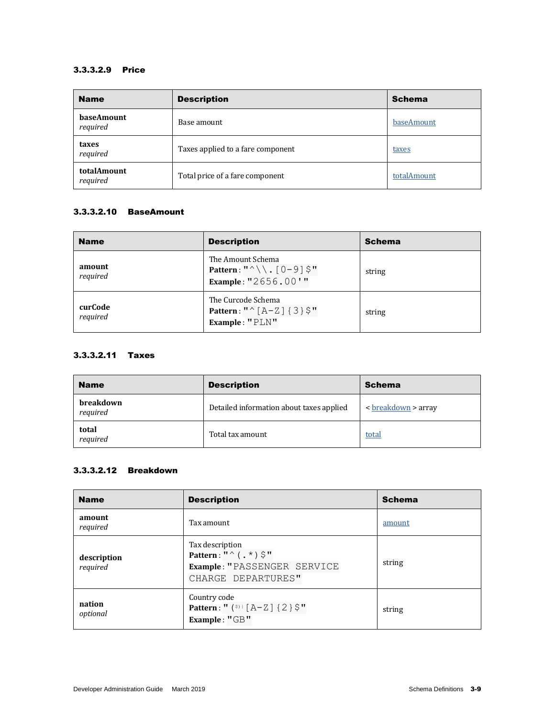#### 3.3.3.2.9 Price

| <b>Name</b>                   | <b>Description</b>                | <b>Schema</b> |
|-------------------------------|-----------------------------------|---------------|
| <b>baseAmount</b><br>required | Base amount                       | baseAmount    |
| taxes<br>required             | Taxes applied to a fare component | taxes         |
| totalAmount<br>required       | Total price of a fare component   | totalAmount   |

#### 3.3.3.2.10 BaseAmount

| <b>Name</b>         | <b>Description</b>                                                                | <b>Schema</b> |
|---------------------|-----------------------------------------------------------------------------------|---------------|
| amount<br>required  | The Amount Schema<br>Pattern: $"\wedge\$ . [0-9] \$"<br>Example: "2656.00'"       | string        |
| curCode<br>required | The Curcode Schema<br><b>Pattern</b> : $" \cap [A-Z]$ { 3 } \$"<br>Example: "PLN" | string        |

#### 3.3.3.2.11 Taxes

| <b>Name</b>           | <b>Description</b>                       | <b>Schema</b>                |
|-----------------------|------------------------------------------|------------------------------|
| breakdown<br>required | Detailed information about taxes applied | <br><u>breakdown</u> > array |
| total<br>required     | Total tax amount                         | total                        |

#### 3.3.3.2.12 Breakdown

| <b>Name</b>             | <b>Description</b>                                                                                           | <b>Schema</b> |
|-------------------------|--------------------------------------------------------------------------------------------------------------|---------------|
| amount<br>required      | Tax amount                                                                                                   | amount        |
| description<br>required | Tax description<br>Pattern: $"\wedge$ ( . * ) $\zeta$ "<br>Example: "PASSENGER SERVICE<br>CHARGE DEPARTURES" | string        |
| nation<br>optional      | Country code<br>Pattern: " $(S)$ [A-Z] {2} \$"<br>Example: "GB"                                              | string        |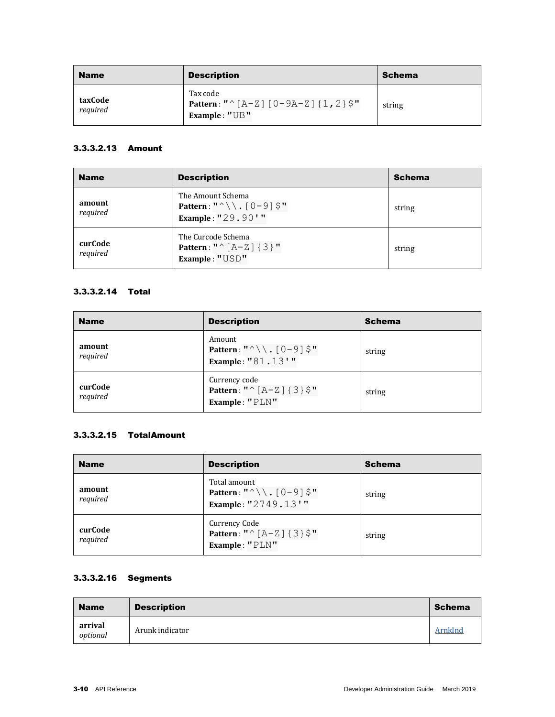| <b>Name</b>         | <b>Description</b>                                                          | Schema |
|---------------------|-----------------------------------------------------------------------------|--------|
| taxCode<br>required | Tax code<br><b>Pattern</b> : " ^ [A-Z] [0-9A-Z] {1, 2} \$"<br>Example: "UB" | string |

#### 3.3.3.2.13 Amount

| <b>Name</b>         | <b>Description</b>                                                        | <b>Schema</b> |
|---------------------|---------------------------------------------------------------------------|---------------|
| amount<br>required  | The Amount Schema<br>Pattern: "^\\. $[0-9]$ \$"<br>Example: "29.90'"      | string        |
| curCode<br>required | The Curcode Schema<br>Pattern: " $^{\wedge}$ [A-Z] {3}"<br>Example: "USD" | string        |

#### 3.3.3.2.14 Total

| <b>Name</b>         | <b>Description</b>                                                        | <b>Schema</b> |
|---------------------|---------------------------------------------------------------------------|---------------|
| amount<br>required  | Amount<br>Pattern: "^\\. $[0-9]$ \$"<br>Example: "81.13'"                 | string        |
| curCode<br>required | Currency code<br>Pattern: " $^{\wedge}$ [A-Z] { 3 } \$"<br>Example: "PLN" | string        |

#### 3.3.3.2.15 TotalAmount

| <b>Name</b>         | <b>Description</b>                                                      | <b>Schema</b> |
|---------------------|-------------------------------------------------------------------------|---------------|
| amount<br>required  | Total amount<br>Pattern: $"\wedge\$ . [0-9] \$"<br>Example: "2749.13'"  | string        |
| curCode<br>required | Currency Code<br>Pattern: " $^{(n)}$ [A-Z] { 3 } \$ "<br>Example: "PLN" | string        |

#### 3.3.3.2.16 Segments

| <b>Name</b>         | <b>Description</b> | <b>Schema</b> |
|---------------------|--------------------|---------------|
| arrival<br>optional | Arunk indicator    | ArnkInd       |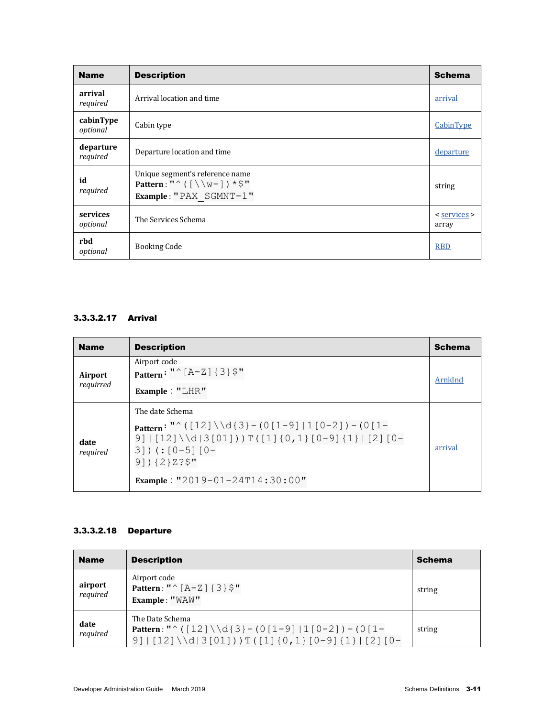| <b>Name</b>           | <b>Description</b>                                                                                                     | <b>Schema</b>               |
|-----------------------|------------------------------------------------------------------------------------------------------------------------|-----------------------------|
| arrival<br>required   | Arrival location and time                                                                                              | arrival                     |
| cabinType<br>optional | Cabin type                                                                                                             | CabinType                   |
| departure<br>required | Departure location and time                                                                                            | departure                   |
| id<br>required        | Unique segment's reference name<br>Pattern: "^ ( $\lceil \backslash w- \rceil$ ) * $\zeta$ "<br>Example: "PAX SGMNT-1" | string                      |
| services<br>optional  | The Services Schema                                                                                                    | $\le$ services $>$<br>array |
| rbd<br>optional       | <b>Booking Code</b>                                                                                                    | <b>RBD</b>                  |

#### 3.3.3.2.17 Arrival

| <b>Name</b>          | <b>Description</b>                                                                                                                                                                                                                                    | <b>Schema</b> |
|----------------------|-------------------------------------------------------------------------------------------------------------------------------------------------------------------------------------------------------------------------------------------------------|---------------|
| Airport<br>requirred | Airport code<br>Pattern: " $(A-Z]$ { 3 } \$"<br>Example: "LHR"                                                                                                                                                                                        | ArnkInd       |
| date<br>required     | The date Schema<br><b>Pattern:</b> " ^ ( $[12] \ \ldots \ d\{3\} - (0[1-9]   1[0-2]) - (0[1-1]$<br>9] $[12] \ \ldots \ d 3[01])$ $T([1] \{0,1\} [0-9] \{1\} [2] [0-1]$<br>$3]$ ) (: [0-5] [0-<br>$9]$ ) {2} Z?\$"<br>Example: $"2019-01-24T14:30:00"$ | arrival       |

#### 3.3.3.2.18 Departure

| <b>Name</b>         | <b>Description</b>                                                                                                                                       | <b>Schema</b> |
|---------------------|----------------------------------------------------------------------------------------------------------------------------------------------------------|---------------|
| airport<br>required | Airport code<br>Pattern: " $^{\wedge}$ [A-Z] {3} \$"<br>Example: "WAW"                                                                                   | string        |
| date<br>required    | The Date Schema<br><b>Pattern</b> : "^( $[12] \ \ldots \ d\{3\} - (0[1-9]   1[0-2]) - (0[1-1]$<br>9] $[12] \Id3[01])$ $T([1] {0, 1} [0-9] {1}   [2] [0-$ | string        |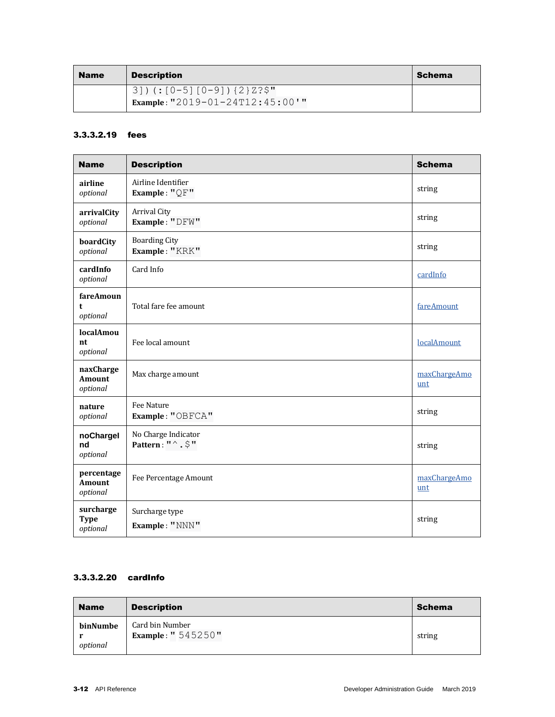| <b>Name</b> | <b>Description</b>               | Schema |
|-------------|----------------------------------|--------|
|             | 3]) (: [0-5] [0-9]) {2}Z?\$"     |        |
|             | Example: "2019-01-24T12: 45:00'" |        |

#### 3.3.3.2.19 fees

| <b>Name</b>                             | <b>Description</b>                      | <b>Schema</b>       |
|-----------------------------------------|-----------------------------------------|---------------------|
| airline<br>optional                     | Airline Identifier<br>Example: "QF"     | string              |
| arrivalCity<br>optional                 | <b>Arrival City</b><br>Example: "DFW"   | string              |
| boardCity<br>optional                   | <b>Boarding City</b><br>Example: "KRK"  | string              |
| cardInfo<br>optional                    | Card Info                               | cardInfo            |
| fareAmoun<br>t<br>optional              | Total fare fee amount                   | fareAmount          |
| localAmou<br>nt<br>optional             | Fee local amount                        | localAmount         |
| naxCharge<br><b>Amount</b><br>optional  | Max charge amount                       | maxChargeAmo<br>unt |
| nature<br>optional                      | Fee Nature<br>Example: "OBFCA"          | string              |
| noChargel<br>nd<br>optional             | No Charge Indicator<br>Pattern: "^. \$" | string              |
| percentage<br><b>Amount</b><br>optional | Fee Percentage Amount                   | maxChargeAmo<br>unt |
| surcharge<br><b>Type</b><br>optional    | Surcharge type<br>Example: "NNN"        | string              |

#### 3.3.3.2.20 cardInfo

| <b>Name</b>          | <b>Description</b>                           | <b>Schema</b> |
|----------------------|----------------------------------------------|---------------|
| binNumbe<br>optional | Card bin Number<br><b>Example: "</b> 545250" | string        |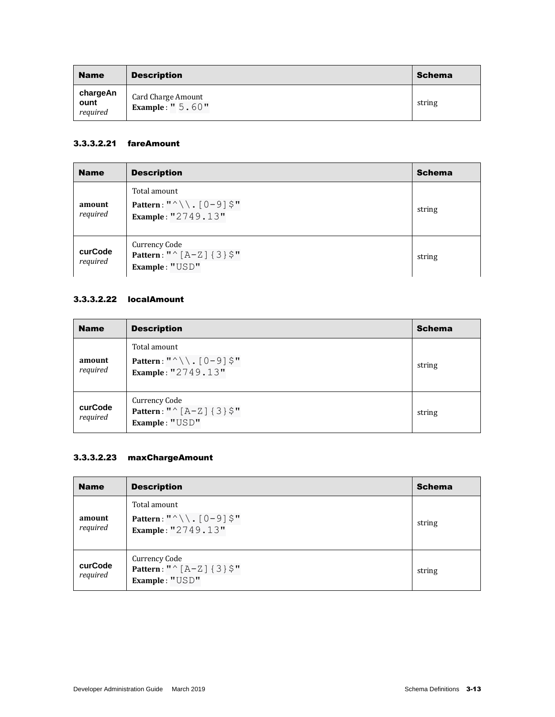| <b>Name</b>                  | <b>Description</b>                                     | <b>Schema</b> |
|------------------------------|--------------------------------------------------------|---------------|
| chargeAn<br>ount<br>required | <b>Card Charge Amount</b><br><b>Example:</b> $" 5.60"$ | string        |

#### 3.3.3.2.21 fareAmount

| <b>Name</b>         | <b>Description</b>                                                      | <b>Schema</b> |
|---------------------|-------------------------------------------------------------------------|---------------|
| amount<br>required  | Total amount<br>Pattern: $"\wedge\$ . [0-9] \$"<br>Example: "2749.13"   | string        |
| curCode<br>required | Currency Code<br>Pattern: " $^{\wedge}$ [A-Z] {3} \$"<br>Example: "USD" | string        |

#### 3.3.3.2.22 localAmount

| <b>Name</b>         | <b>Description</b>                                                      | <b>Schema</b> |
|---------------------|-------------------------------------------------------------------------|---------------|
| amount<br>required  | Total amount<br>Pattern: $"\wedge\$ . [0-9] \$"<br>Example: "2749.13"   | string        |
| curCode<br>required | Currency Code<br>Pattern: " $^{\wedge}$ [A-Z] {3} \$"<br>Example: "USD" | string        |

#### 3.3.3.2.23 maxChargeAmount

| <b>Name</b>         | <b>Description</b>                                                      | <b>Schema</b> |
|---------------------|-------------------------------------------------------------------------|---------------|
| amount<br>required  | Total amount<br>Pattern: $"\wedge\$ . [0-9] \$"<br>Example: "2749.13"   | string        |
| curCode<br>required | Currency Code<br>Pattern: " $^{\wedge}$ [A-Z] {3} \$"<br>Example: "USD" | string        |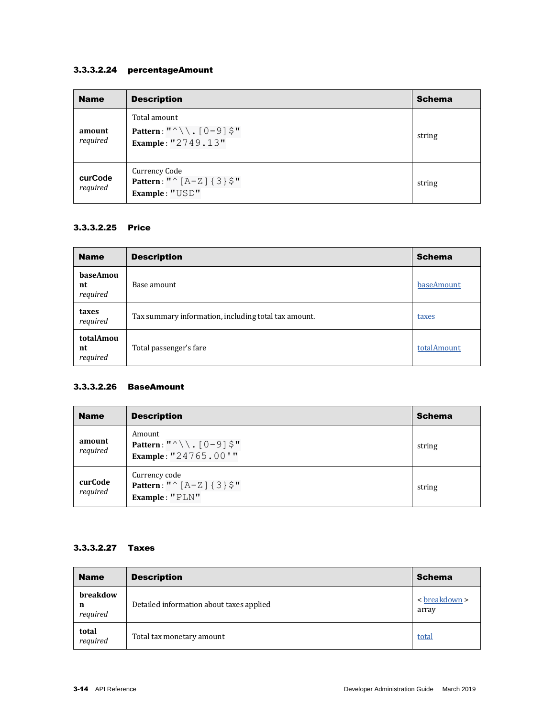#### 3.3.3.2.24 percentageAmount

| <b>Name</b>         | <b>Description</b>                                                      | <b>Schema</b> |
|---------------------|-------------------------------------------------------------------------|---------------|
| amount<br>required  | Total amount<br>Pattern: $"\wedge\$ . [0-9] \$"<br>Example: "2749.13"   | string        |
| curCode<br>reguired | Currency Code<br>Pattern: " $^{\wedge}$ [A-Z] {3} \$"<br>Example: "USD" | string        |

#### 3.3.3.2.25 Price

| <b>Name</b>                 | <b>Description</b>                                   | <b>Schema</b> |
|-----------------------------|------------------------------------------------------|---------------|
| baseAmou<br>nt<br>required  | Base amount                                          | baseAmount    |
| taxes<br>required           | Tax summary information, including total tax amount. | taxes         |
| totalAmou<br>nt<br>required | Total passenger's fare                               | totalAmount   |

#### 3.3.3.2.26 BaseAmount

| <b>Name</b>         | <b>Description</b>                                                        | <b>Schema</b> |
|---------------------|---------------------------------------------------------------------------|---------------|
| amount<br>required  | Amount<br>Pattern: "^\\. $[0-9]$ \$"<br>Example: "24765.00'"              | string        |
| curCode<br>required | Currency code<br><b>Pattern</b> : $" \hat{[A-Z]} \{3\}$<br>Example: "PLN" | string        |

#### 3.3.3.2.27 Taxes

| <b>Name</b>               | <b>Description</b>                       | <b>Schema</b>          |
|---------------------------|------------------------------------------|------------------------|
| breakdow<br>n<br>required | Detailed information about taxes applied | < breakdown ><br>array |
| total<br>required         | Total tax monetary amount                | total                  |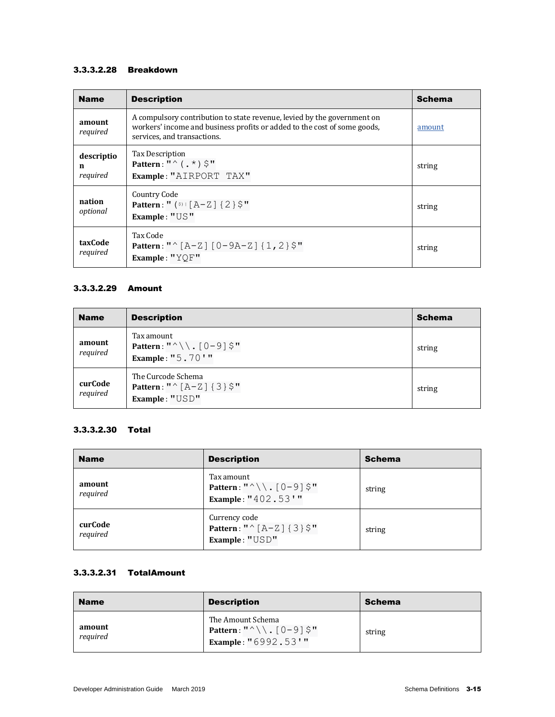#### 3.3.3.2.28 Breakdown

| <b>Name</b>                 | <b>Description</b>                                                                                                                                                                 | <b>Schema</b> |
|-----------------------------|------------------------------------------------------------------------------------------------------------------------------------------------------------------------------------|---------------|
| amount<br>required          | A compulsory contribution to state revenue, levied by the government on<br>workers' income and business profits or added to the cost of some goods,<br>services, and transactions. | amount        |
| descriptio<br>n<br>required | Tax Description<br>Pattern: $"\wedge$ ( . * ) $\sin$<br>Example: "AIRPORT TAX"                                                                                                     | string        |
| nation<br>optional          | Country Code<br>Pattern: " $({}^{\$})$   [A-Z] {2} \$"<br>Example: "US"                                                                                                            | string        |
| taxCode<br>required         | Tax Code<br><b>Pattern</b> : "^[A-Z][0-9A-Z]{1,2}\$"<br><b>Example</b> : $"YQF"$                                                                                                   | string        |

#### 3.3.3.2.29 Amount

| <b>Name</b>         | <b>Description</b>                                                                | <b>Schema</b> |
|---------------------|-----------------------------------------------------------------------------------|---------------|
| amount<br>required  | Tax amount<br>Pattern: "^\\. $[0-9]$ \$"<br>Example: "5.70'"                      | string        |
| curCode<br>required | The Curcode Schema<br><b>Pattern</b> : $" \cap [A-Z]$ { 3 } \$"<br>Example: "USD" | string        |

#### 3.3.3.2.30 Total

| <b>Name</b>         | <b>Description</b>                                                      | <b>Schema</b> |
|---------------------|-------------------------------------------------------------------------|---------------|
| amount<br>required  | Tax amount<br>Pattern: $"\wedge\$ . [0-9] \$"<br>Example: "402.53'"     | string        |
| curCode<br>required | Currency code<br>Pattern: " $^{\wedge}$ [A-Z] {3} \$"<br>Example: "USD" | string        |

#### 3.3.3.2.31 TotalAmount

| <b>Name</b>        | <b>Description</b>                                                            | Schema |
|--------------------|-------------------------------------------------------------------------------|--------|
| amount<br>required | The Amount Schema<br>Pattern: $"\wedge\$ . $[0-9]$ \$"<br>Example: "6992.53'" | string |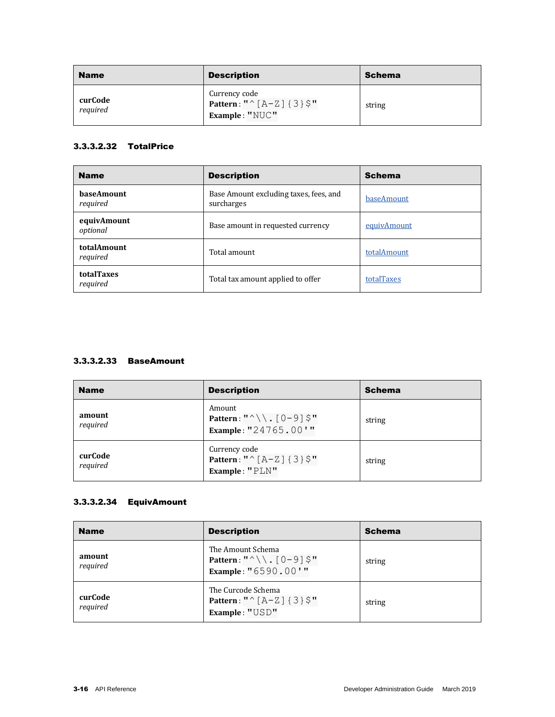| <b>Name</b>         | <b>Description</b>                                                                | <b>Schema</b> |
|---------------------|-----------------------------------------------------------------------------------|---------------|
| curCode<br>required | Currency code<br><b>Pattern</b> : " $^{\wedge}$ [A-Z] { 3 } \$"<br>Example: "NUC" | string        |

#### 3.3.3.2.32 TotalPrice

| <b>Name</b>                   | <b>Description</b>                                   | <b>Schema</b> |
|-------------------------------|------------------------------------------------------|---------------|
| <b>baseAmount</b><br>reguired | Base Amount excluding taxes, fees, and<br>surcharges | baseAmount    |
| equivAmount<br>optional       | Base amount in requested currency                    | equivAmount   |
| totalAmount<br>required       | Total amount                                         | totalAmount   |
| totalTaxes<br>required        | Total tax amount applied to offer                    | totalTaxes    |

#### 3.3.3.2.33 BaseAmount

| <b>Name</b>         | <b>Description</b>                                                      | <b>Schema</b> |
|---------------------|-------------------------------------------------------------------------|---------------|
| amount<br>required  | Amount<br>Pattern: "^\\. $[0-9]$ \$"<br>Example: "24765.00'"            | string        |
| curCode<br>required | Currency code<br>Pattern: " $^{\wedge}$ [A-Z] {3} \$"<br>Example: "PLN" | string        |

#### 3.3.3.2.34 EquivAmount

| <b>Name</b>         | <b>Description</b>                                                                | <b>Schema</b> |
|---------------------|-----------------------------------------------------------------------------------|---------------|
| amount<br>required  | The Amount Schema<br>Pattern: $"\wedge\$ . $[0-9]$ \$"<br>Example: "6590.00'"     | string        |
| curCode<br>required | The Curcode Schema<br><b>Pattern</b> : $" \cap [A-Z]$ { 3 } \$"<br>Example: "USD" | string        |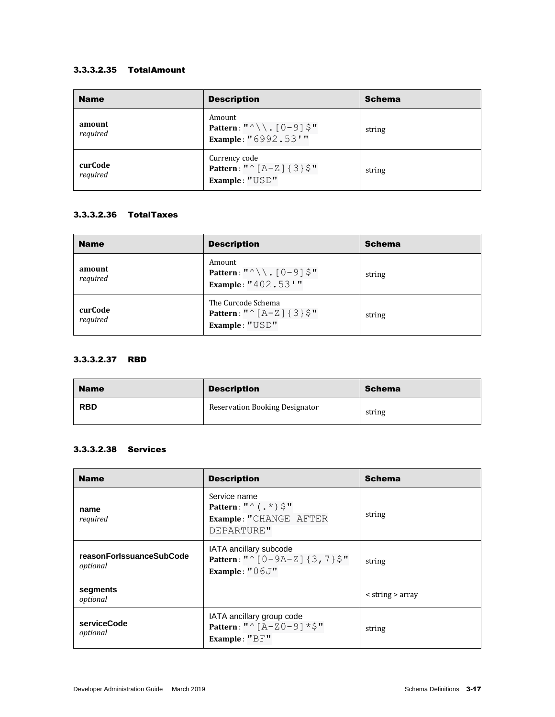#### 3.3.3.2.35 TotalAmount

| <b>Name</b>         | <b>Description</b>                                                        | <b>Schema</b> |
|---------------------|---------------------------------------------------------------------------|---------------|
| amount<br>required  | Amount<br>Pattern: $"\wedge\$ . [0-9] \$"<br>Example: "6992.53'"          | string        |
| curCode<br>required | Currency code<br><b>Pattern</b> : $" \hat{[A-Z]} \{3\}$<br>Example: "USD" | string        |

#### 3.3.3.2.36 TotalTaxes

| <b>Name</b>         | <b>Description</b>                                                                | <b>Schema</b> |
|---------------------|-----------------------------------------------------------------------------------|---------------|
| amount<br>required  | Amount<br>Pattern: "^\\. $[0-9]$ \$"<br>Example: "402.53'"                        | string        |
| curCode<br>required | The Curcode Schema<br><b>Pattern</b> : $" \cap [A-Z]$ { 3 } \$"<br>Example: "USD" | string        |

#### 3.3.3.2.37 RBD

| <b>Name</b> | <b>Description</b>                    | <b>Schema</b> |
|-------------|---------------------------------------|---------------|
| <b>RBD</b>  | <b>Reservation Booking Designator</b> | string        |

#### 3.3.3.2.38 Services

| <b>Name</b>                          | <b>Description</b>                                                                             | <b>Schema</b>          |
|--------------------------------------|------------------------------------------------------------------------------------------------|------------------------|
| name<br>required                     | Service name<br>Pattern: $"\wedge$ ( . * ) $\zeta$ "<br>Example: "CHANGE AFTER<br>DEPARTURE"   | string                 |
| reasonForlssuanceSubCode<br>optional | IATA ancillary subcode<br><b>Pattern</b> : " $\cap$ [0-9A-Z] {3,7}\$"<br>Example: "06J"        | string                 |
| segments<br>optional                 |                                                                                                | $\le$ string $>$ array |
| serviceCode<br>optional              | IATA ancillary group code<br><b>Pattern</b> : " $\wedge$ [A-Z0-9] $\star$ \$"<br>Example: "BF" | string                 |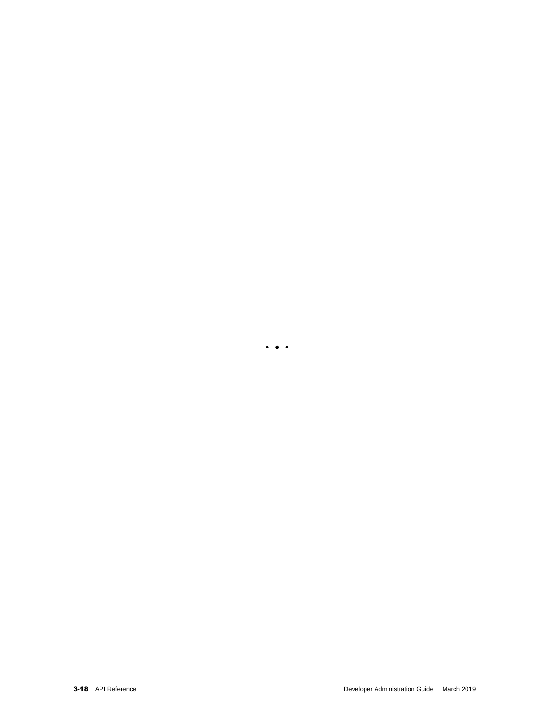• • •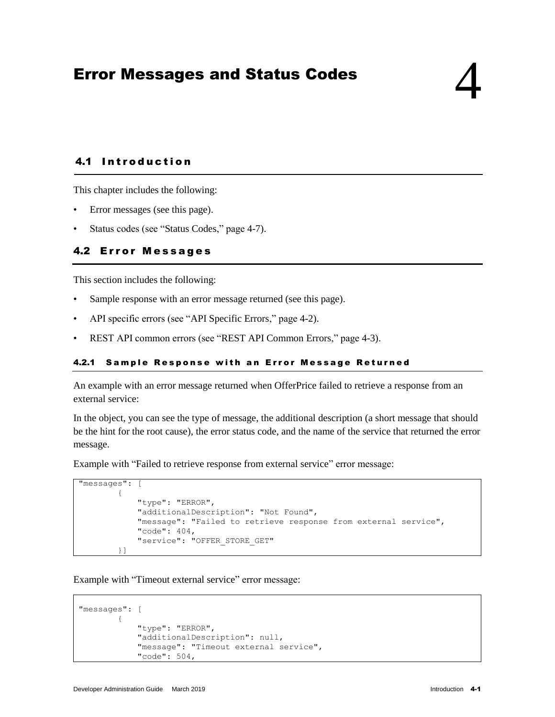### **Error Messages and Status Codes**

#### 4.1 Introduction

This chapter includes the following:

- Error messages (see this page).
- Status codes (see ["Status Codes,](#page-40-0)" page [4-7\)](#page-40-0).

#### 4.2 Error Messages

This section includes the following:

- Sample response with an error message returned (see this page).
- API specific errors (see ["API Specific Errors,](#page-35-0)" page [4-2\)](#page-35-0).
- REST API common errors (see ["REST API Common Errors,](#page-36-0)" page [4-3\)](#page-36-0).

#### 4.2.1 Sample Response with an Error Message Returned

An example with an error message returned when OfferPrice failed to retrieve a response from an external service:

In the object, you can see the type of message, the additional description (a short message that should be the hint for the root cause), the error status code, and the name of the service that returned the error message.

Example with "Failed to retrieve response from external service" error message:

```
"messages": [
\overline{\mathcal{L}} "type": "ERROR",
              "additionalDescription": "Not Found",
              "message": "Failed to retrieve response from external service",
              "code": 404,
              "service": "OFFER_STORE_GET"
         }]
```
Example with "Timeout external service" error message:

```
"messages": [
         {
             "type": "ERROR",
             "additionalDescription": null,
             "message": "Timeout external service",
             "code": 504,
```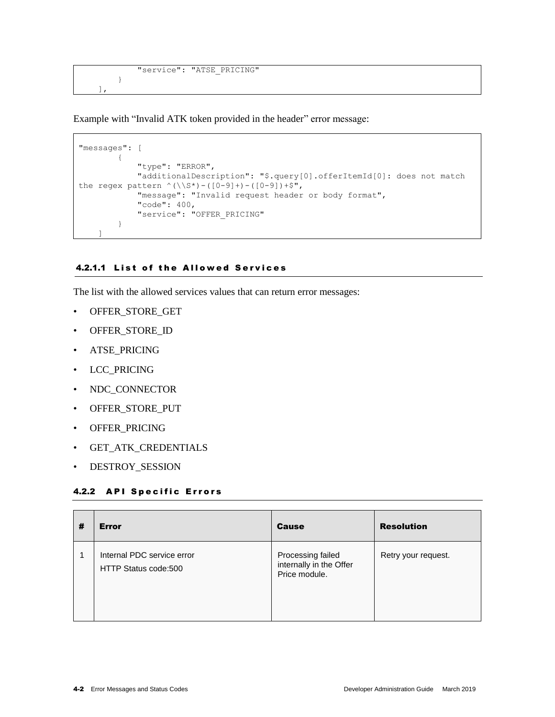```
 "service": "ATSE_PRICING"
     }
 ],
```
Example with "Invalid ATK token provided in the header" error message:

```
"messages": [
         {
              "type": "ERROR",
             "additionalDescription": "$.query[0].offerItemId[0]: does not match 
the regex pattern \wedge (\S*)-((0-9]+)-((0-9])+5", "message": "Invalid request header or body format",
             "code": 400,
             "service": "OFFER_PRICING"
         }
\blacksquare
```
#### 4.2.1.1 List of the Allowed Services

The list with the allowed services values that can return error messages:

- OFFER\_STORE\_GET
- OFFER\_STORE\_ID
- ATSE\_PRICING
- LCC\_PRICING
- NDC CONNECTOR
- OFFER\_STORE\_PUT
- OFFER\_PRICING
- GET\_ATK\_CREDENTIALS
- DESTROY\_SESSION

#### <span id="page-35-0"></span>4.2.2 API Specific Errors

| # | <b>Error</b>                                       | <b>Cause</b>                                                  | <b>Resolution</b>   |
|---|----------------------------------------------------|---------------------------------------------------------------|---------------------|
|   | Internal PDC service error<br>HTTP Status code:500 | Processing failed<br>internally in the Offer<br>Price module. | Retry your request. |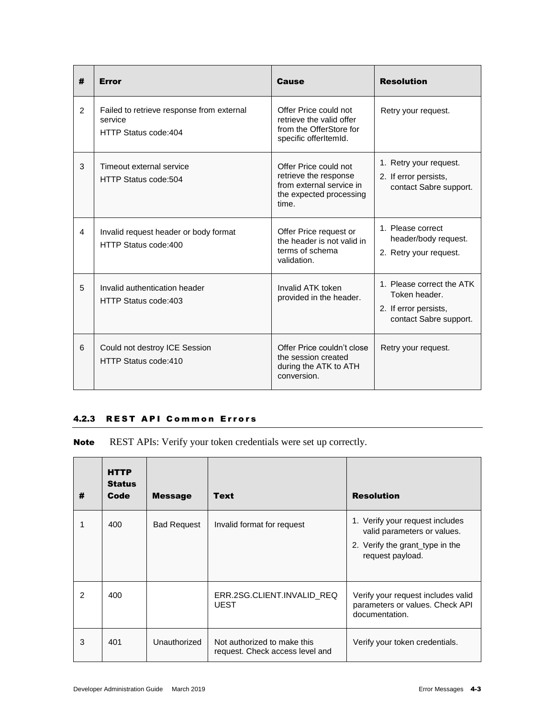| #              | <b>Error</b>                                                                 | <b>Cause</b>                                                                                                   | <b>Resolution</b>                                                                             |
|----------------|------------------------------------------------------------------------------|----------------------------------------------------------------------------------------------------------------|-----------------------------------------------------------------------------------------------|
| $\mathcal{P}$  | Failed to retrieve response from external<br>service<br>HTTP Status code:404 | Offer Price could not<br>retrieve the valid offer<br>from the OfferStore for<br>specific offerItemId.          | Retry your request.                                                                           |
| 3              | Timeout external service<br>HTTP Status code:504                             | Offer Price could not<br>retrieve the response<br>from external service in<br>the expected processing<br>time. | 1. Retry your request.<br>2. If error persists,<br>contact Sabre support.                     |
| $\overline{4}$ | Invalid request header or body format<br>HTTP Status code:400                | Offer Price request or<br>the header is not valid in<br>terms of schema<br>validation.                         | 1. Please correct<br>header/body request.<br>2. Retry your request.                           |
| 5              | Invalid authentication header<br>HTTP Status code:403                        | Invalid ATK token<br>provided in the header.                                                                   | 1. Please correct the ATK<br>Token header.<br>2. If error persists,<br>contact Sabre support. |
| 6              | Could not destroy ICE Session<br>HTTP Status code:410                        | Offer Price couldn't close<br>the session created<br>during the ATK to ATH<br>conversion.                      | Retry your request.                                                                           |

#### <span id="page-36-0"></span>4.2.3 REST API Common Errors

Note REST APIs: Verify your token credentials were set up correctly.

| # | <b>HTTP</b><br><b>Status</b><br>Code | <b>Message</b>     | Text                                                           | <b>Resolution</b>                                                                                                     |
|---|--------------------------------------|--------------------|----------------------------------------------------------------|-----------------------------------------------------------------------------------------------------------------------|
| 1 | 400                                  | <b>Bad Request</b> | Invalid format for request                                     | 1. Verify your request includes<br>valid parameters or values.<br>2. Verify the grant_type in the<br>request payload. |
| 2 | 400                                  |                    | ERR.2SG.CLIENT.INVALID_REQ<br><b>UEST</b>                      | Verify your request includes valid<br>parameters or values. Check API<br>documentation.                               |
| 3 | 401                                  | Unauthorized       | Not authorized to make this<br>request. Check access level and | Verify your token credentials.                                                                                        |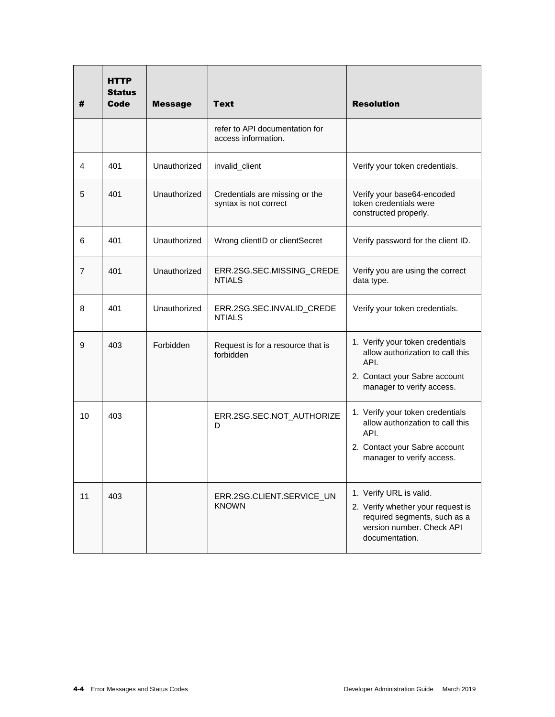| #  | <b>HTTP</b><br><b>Status</b><br>Code | <b>Message</b> | Text                                                    | <b>Resolution</b>                                                                                                                           |
|----|--------------------------------------|----------------|---------------------------------------------------------|---------------------------------------------------------------------------------------------------------------------------------------------|
|    |                                      |                | refer to API documentation for<br>access information.   |                                                                                                                                             |
| 4  | 401                                  | Unauthorized   | invalid_client                                          | Verify your token credentials.                                                                                                              |
| 5  | 401                                  | Unauthorized   | Credentials are missing or the<br>syntax is not correct | Verify your base64-encoded<br>token credentials were<br>constructed properly.                                                               |
| 6  | 401                                  | Unauthorized   | Wrong clientID or clientSecret                          | Verify password for the client ID.                                                                                                          |
| 7  | 401                                  | Unauthorized   | ERR.2SG.SEC.MISSING_CREDE<br><b>NTIALS</b>              | Verify you are using the correct<br>data type.                                                                                              |
| 8  | 401                                  | Unauthorized   | ERR.2SG.SEC.INVALID_CREDE<br><b>NTIALS</b>              | Verify your token credentials.                                                                                                              |
| 9  | 403                                  | Forbidden      | Request is for a resource that is<br>forbidden          | 1. Verify your token credentials<br>allow authorization to call this<br>API.<br>2. Contact your Sabre account<br>manager to verify access.  |
| 10 | 403                                  |                | ERR.2SG.SEC.NOT_AUTHORIZE<br>D                          | 1. Verify your token credentials<br>allow authorization to call this<br>API.<br>2. Contact your Sabre account<br>manager to verify access.  |
| 11 | 403                                  |                | ERR.2SG.CLIENT.SERVICE_UN<br><b>KNOWN</b>               | 1. Verify URL is valid.<br>2. Verify whether your request is<br>required segments, such as a<br>version number, Check API<br>documentation. |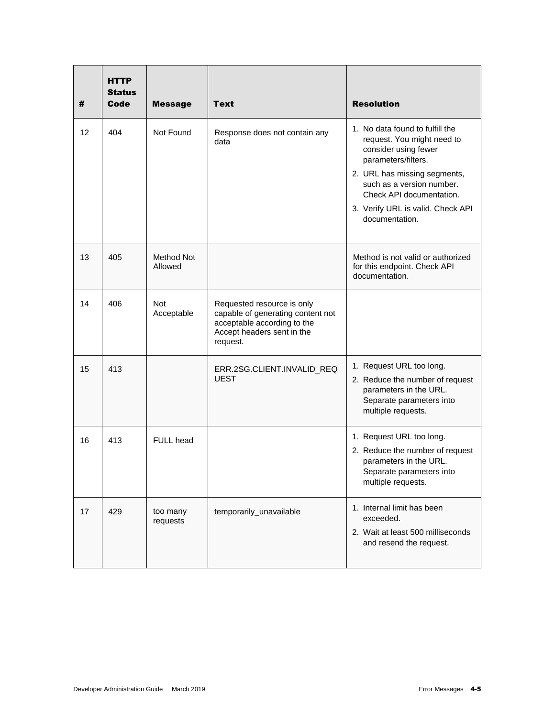| #  | <b>HTTP</b><br><b>Status</b><br>Code | <b>Message</b>               | <b>Text</b>                                                                                                                              | <b>Resolution</b>                                                                                                                                                                                                                                            |
|----|--------------------------------------|------------------------------|------------------------------------------------------------------------------------------------------------------------------------------|--------------------------------------------------------------------------------------------------------------------------------------------------------------------------------------------------------------------------------------------------------------|
| 12 | 404                                  | Not Found                    | Response does not contain any<br>data                                                                                                    | 1. No data found to fulfill the<br>request. You might need to<br>consider using fewer<br>parameters/filters.<br>2. URL has missing segments,<br>such as a version number.<br>Check API documentation.<br>3. Verify URL is valid. Check API<br>documentation. |
| 13 | 405                                  | <b>Method Not</b><br>Allowed |                                                                                                                                          | Method is not valid or authorized<br>for this endpoint. Check API<br>documentation.                                                                                                                                                                          |
| 14 | 406                                  | <b>Not</b><br>Acceptable     | Requested resource is only<br>capable of generating content not<br>acceptable according to the<br>Accept headers sent in the<br>request. |                                                                                                                                                                                                                                                              |
| 15 | 413                                  |                              | ERR.2SG.CLIENT.INVALID_REQ<br><b>UEST</b>                                                                                                | 1. Request URL too long.<br>2. Reduce the number of request<br>parameters in the URL.<br>Separate parameters into<br>multiple requests.                                                                                                                      |
| 16 | 413                                  | <b>FULL</b> head             |                                                                                                                                          | 1. Request URL too long.<br>2. Reduce the number of request<br>parameters in the URL.<br>Separate parameters into<br>multiple requests.                                                                                                                      |
| 17 | 429                                  | too many<br>requests         | temporarily_unavailable                                                                                                                  | 1. Internal limit has been<br>exceeded.<br>2. Wait at least 500 milliseconds<br>and resend the request.                                                                                                                                                      |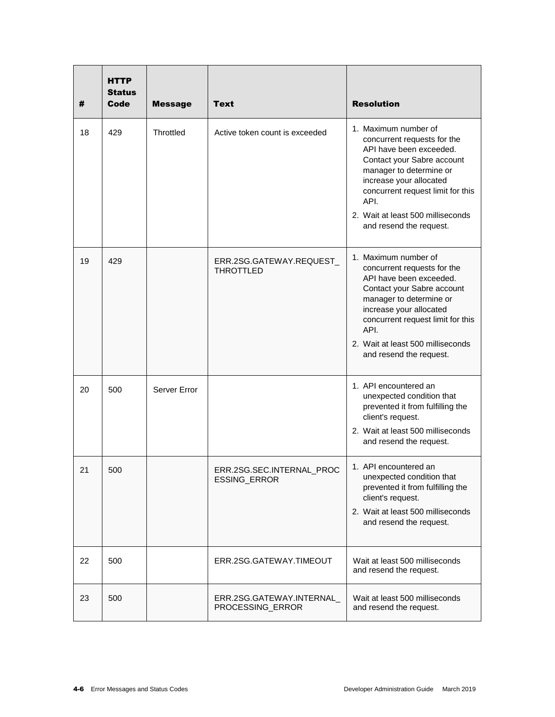| #  | <b>HTTP</b><br><b>Status</b><br>Code | <b>Message</b> | Text                                         | <b>Resolution</b>                                                                                                                                                                                                                                                               |
|----|--------------------------------------|----------------|----------------------------------------------|---------------------------------------------------------------------------------------------------------------------------------------------------------------------------------------------------------------------------------------------------------------------------------|
| 18 | 429                                  | Throttled      | Active token count is exceeded               | 1. Maximum number of<br>concurrent requests for the<br>API have been exceeded.<br>Contact your Sabre account<br>manager to determine or<br>increase your allocated<br>concurrent request limit for this<br>API.<br>2. Wait at least 500 milliseconds<br>and resend the request. |
| 19 | 429                                  |                | ERR.2SG.GATEWAY.REQUEST<br><b>THROTTLED</b>  | 1. Maximum number of<br>concurrent requests for the<br>API have been exceeded.<br>Contact your Sabre account<br>manager to determine or<br>increase your allocated<br>concurrent request limit for this<br>API.<br>2. Wait at least 500 milliseconds<br>and resend the request. |
| 20 | 500                                  | Server Error   |                                              | 1. API encountered an<br>unexpected condition that<br>prevented it from fulfilling the<br>client's request.<br>2. Wait at least 500 milliseconds<br>and resend the request.                                                                                                     |
| 21 | 500                                  |                | ERR.2SG.SEC.INTERNAL_PROC  <br>ESSING_ERROR  | 1. API encountered an<br>unexpected condition that<br>prevented it from fulfilling the<br>client's request.<br>2. Wait at least 500 milliseconds<br>and resend the request.                                                                                                     |
| 22 | 500                                  |                | ERR.2SG.GATEWAY.TIMEOUT                      | Wait at least 500 milliseconds<br>and resend the request.                                                                                                                                                                                                                       |
| 23 | 500                                  |                | ERR.2SG.GATEWAY.INTERNAL<br>PROCESSING_ERROR | Wait at least 500 milliseconds<br>and resend the request.                                                                                                                                                                                                                       |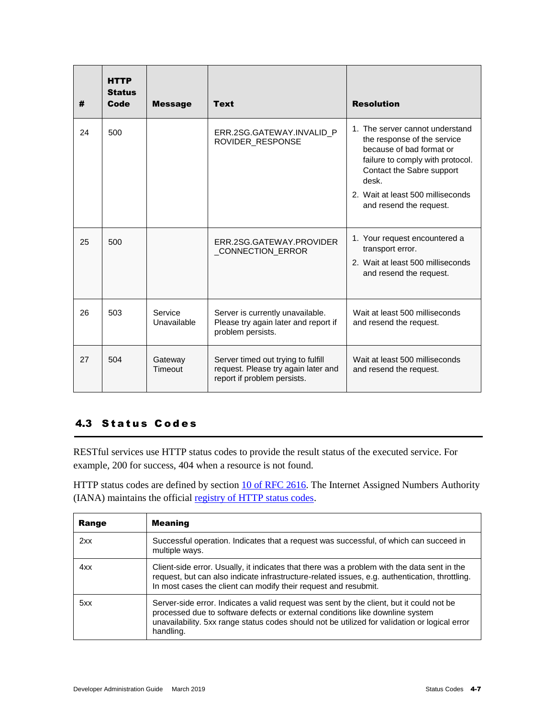| #  | <b>HTTP</b><br><b>Status</b><br>Code | <b>Message</b>         | <b>Text</b>                                                                                              | <b>Resolution</b>                                                                                                                                                                                                                    |
|----|--------------------------------------|------------------------|----------------------------------------------------------------------------------------------------------|--------------------------------------------------------------------------------------------------------------------------------------------------------------------------------------------------------------------------------------|
| 24 | 500                                  |                        | ERR.2SG.GATEWAY.INVALID P<br>ROVIDER_RESPONSE                                                            | 1. The server cannot understand<br>the response of the service<br>because of bad format or<br>failure to comply with protocol.<br>Contact the Sabre support<br>desk.<br>2. Wait at least 500 milliseconds<br>and resend the request. |
| 25 | 500                                  |                        | ERR.2SG.GATEWAY.PROVIDER<br>_CONNECTION_ERROR                                                            | 1. Your request encountered a<br>transport error.<br>2. Wait at least 500 milliseconds<br>and resend the request.                                                                                                                    |
| 26 | 503                                  | Service<br>Unavailable | Server is currently unavailable.<br>Please try again later and report if<br>problem persists.            | Wait at least 500 milliseconds<br>and resend the request.                                                                                                                                                                            |
| 27 | 504                                  | Gateway<br>Timeout     | Server timed out trying to fulfill<br>request. Please try again later and<br>report if problem persists. | Wait at least 500 milliseconds<br>and resend the request.                                                                                                                                                                            |

#### <span id="page-40-0"></span>4.3 Status Codes

RESTful services use HTTP status codes to provide the result status of the executed service. For example, 200 for success, 404 when a resource is not found.

HTTP status codes are defined by section [10 of RFC 2616.](https://tools.ietf.org/html/rfc2616#section-10) The Internet Assigned Numbers Authority (IANA) maintains the official [registry of HTTP status codes.](https://www.iana.org/assignments/http-status-codes/http-status-codes.xhtml)

| Range | <b>Meaning</b>                                                                                                                                                                                                                                                                          |
|-------|-----------------------------------------------------------------------------------------------------------------------------------------------------------------------------------------------------------------------------------------------------------------------------------------|
| 2xx   | Successful operation. Indicates that a request was successful, of which can succeed in<br>multiple ways.                                                                                                                                                                                |
| 4xx   | Client-side error. Usually, it indicates that there was a problem with the data sent in the<br>request, but can also indicate infrastructure-related issues, e.g. authentication, throttling.<br>In most cases the client can modify their request and resubmit.                        |
| 5xx   | Server-side error. Indicates a valid request was sent by the client, but it could not be<br>processed due to software defects or external conditions like downline system<br>unavailability. 5xx range status codes should not be utilized for validation or logical error<br>handling. |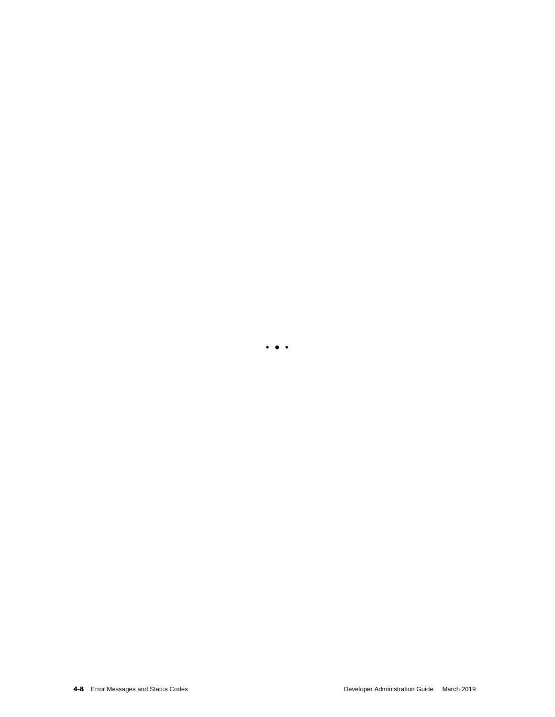<span id="page-41-0"></span>• • •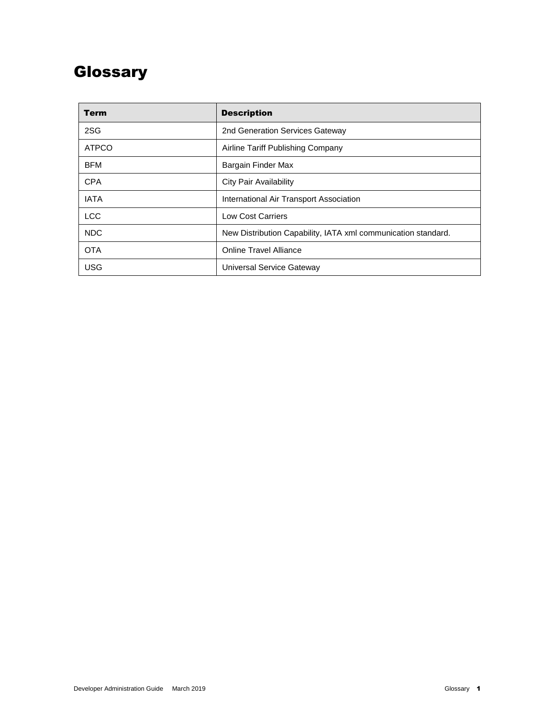## **Glossary**

| <b>Term</b>  | <b>Description</b>                                            |
|--------------|---------------------------------------------------------------|
| 2SG          | 2nd Generation Services Gateway                               |
| <b>ATPCO</b> | Airline Tariff Publishing Company                             |
| <b>BFM</b>   | Bargain Finder Max                                            |
| <b>CPA</b>   | City Pair Availability                                        |
| <b>IATA</b>  | International Air Transport Association                       |
| <b>LCC</b>   | <b>Low Cost Carriers</b>                                      |
| <b>NDC</b>   | New Distribution Capability, IATA xml communication standard. |
| <b>OTA</b>   | <b>Online Travel Alliance</b>                                 |
| <b>USG</b>   | Universal Service Gateway                                     |